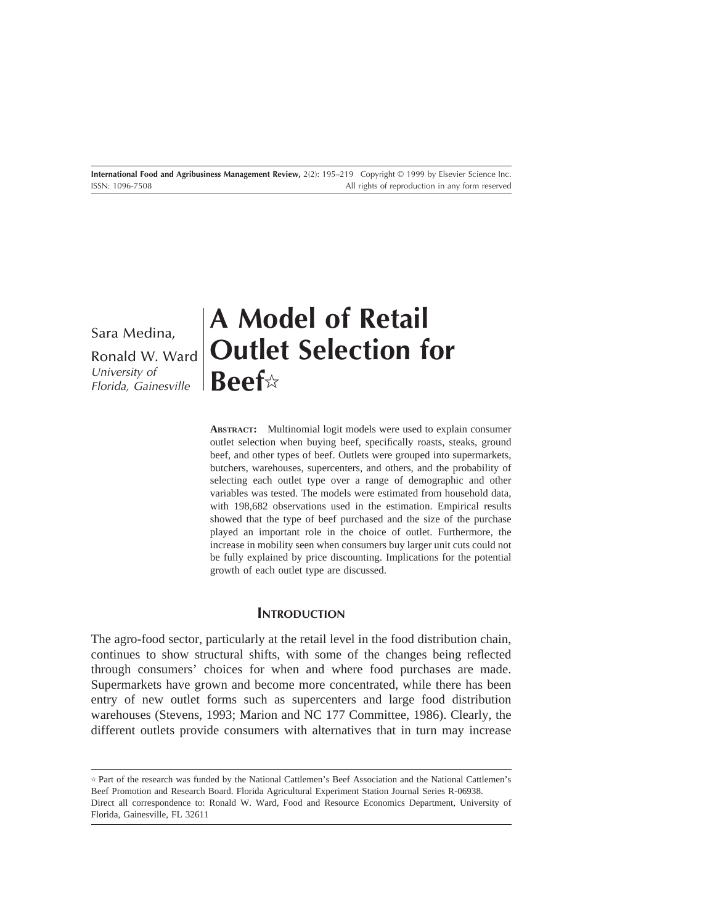**International Food and Agribusiness Management Review,** 2(2): 195–219 Copyright © 1999 by Elsevier Science Inc. ISSN: 1096-7508 All rights of reproduction in any form reserved

University of  $\mathsf{Beef}$   $\lambda$ Sara Medina, Ronald W. Ward Florida, Gainesville

# **A Model of Retail Outlet Selection for**

**ABSTRACT:** Multinomial logit models were used to explain consumer outlet selection when buying beef, specifically roasts, steaks, ground beef, and other types of beef. Outlets were grouped into supermarkets, butchers, warehouses, supercenters, and others, and the probability of selecting each outlet type over a range of demographic and other variables was tested. The models were estimated from household data, with 198,682 observations used in the estimation. Empirical results showed that the type of beef purchased and the size of the purchase played an important role in the choice of outlet. Furthermore, the increase in mobility seen when consumers buy larger unit cuts could not be fully explained by price discounting. Implications for the potential growth of each outlet type are discussed.

#### **INTRODUCTION**

The agro-food sector, particularly at the retail level in the food distribution chain, continues to show structural shifts, with some of the changes being reflected through consumers' choices for when and where food purchases are made. Supermarkets have grown and become more concentrated, while there has been entry of new outlet forms such as supercenters and large food distribution warehouses (Stevens, 1993; Marion and NC 177 Committee, 1986). Clearly, the different outlets provide consumers with alternatives that in turn may increase

< Part of the research was funded by the National Cattlemen's Beef Association and the National Cattlemen's Beef Promotion and Research Board. Florida Agricultural Experiment Station Journal Series R-06938.

Direct all correspondence to: Ronald W. Ward, Food and Resource Economics Department, University of Florida, Gainesville, FL 32611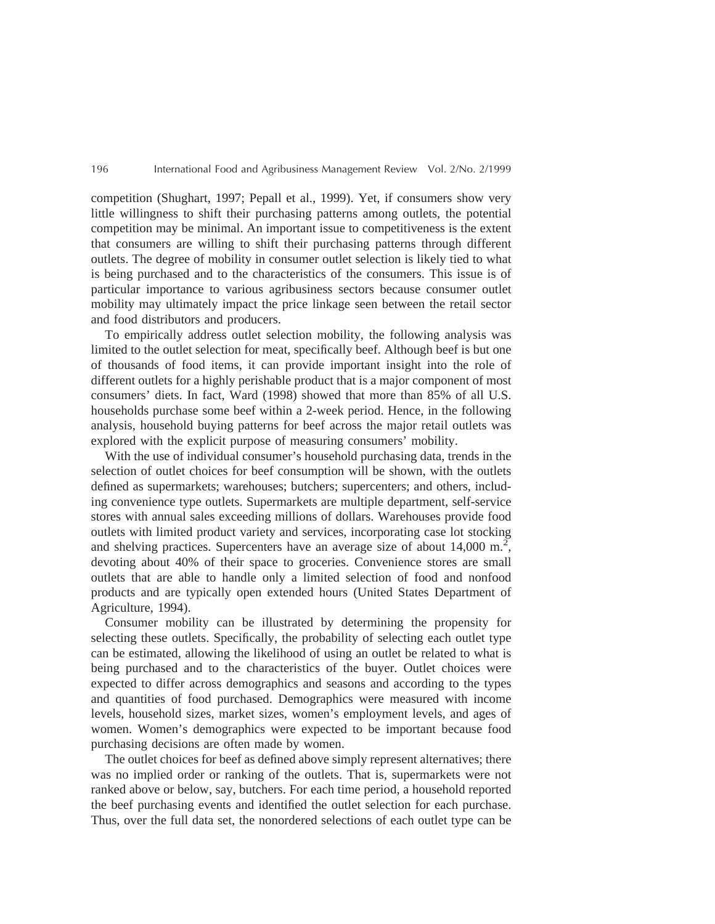competition (Shughart, 1997; Pepall et al., 1999). Yet, if consumers show very little willingness to shift their purchasing patterns among outlets, the potential competition may be minimal. An important issue to competitiveness is the extent that consumers are willing to shift their purchasing patterns through different outlets. The degree of mobility in consumer outlet selection is likely tied to what is being purchased and to the characteristics of the consumers. This issue is of particular importance to various agribusiness sectors because consumer outlet mobility may ultimately impact the price linkage seen between the retail sector and food distributors and producers.

To empirically address outlet selection mobility, the following analysis was limited to the outlet selection for meat, specifically beef. Although beef is but one of thousands of food items, it can provide important insight into the role of different outlets for a highly perishable product that is a major component of most consumers' diets. In fact, Ward (1998) showed that more than 85% of all U.S. households purchase some beef within a 2-week period. Hence, in the following analysis, household buying patterns for beef across the major retail outlets was explored with the explicit purpose of measuring consumers' mobility.

With the use of individual consumer's household purchasing data, trends in the selection of outlet choices for beef consumption will be shown, with the outlets defined as supermarkets; warehouses; butchers; supercenters; and others, including convenience type outlets. Supermarkets are multiple department, self-service stores with annual sales exceeding millions of dollars. Warehouses provide food outlets with limited product variety and services, incorporating case lot stocking and shelving practices. Supercenters have an average size of about  $14,000 \text{ m.}^2$ , devoting about 40% of their space to groceries. Convenience stores are small outlets that are able to handle only a limited selection of food and nonfood products and are typically open extended hours (United States Department of Agriculture, 1994).

Consumer mobility can be illustrated by determining the propensity for selecting these outlets. Specifically, the probability of selecting each outlet type can be estimated, allowing the likelihood of using an outlet be related to what is being purchased and to the characteristics of the buyer. Outlet choices were expected to differ across demographics and seasons and according to the types and quantities of food purchased. Demographics were measured with income levels, household sizes, market sizes, women's employment levels, and ages of women. Women's demographics were expected to be important because food purchasing decisions are often made by women.

The outlet choices for beef as defined above simply represent alternatives; there was no implied order or ranking of the outlets. That is, supermarkets were not ranked above or below, say, butchers. For each time period, a household reported the beef purchasing events and identified the outlet selection for each purchase. Thus, over the full data set, the nonordered selections of each outlet type can be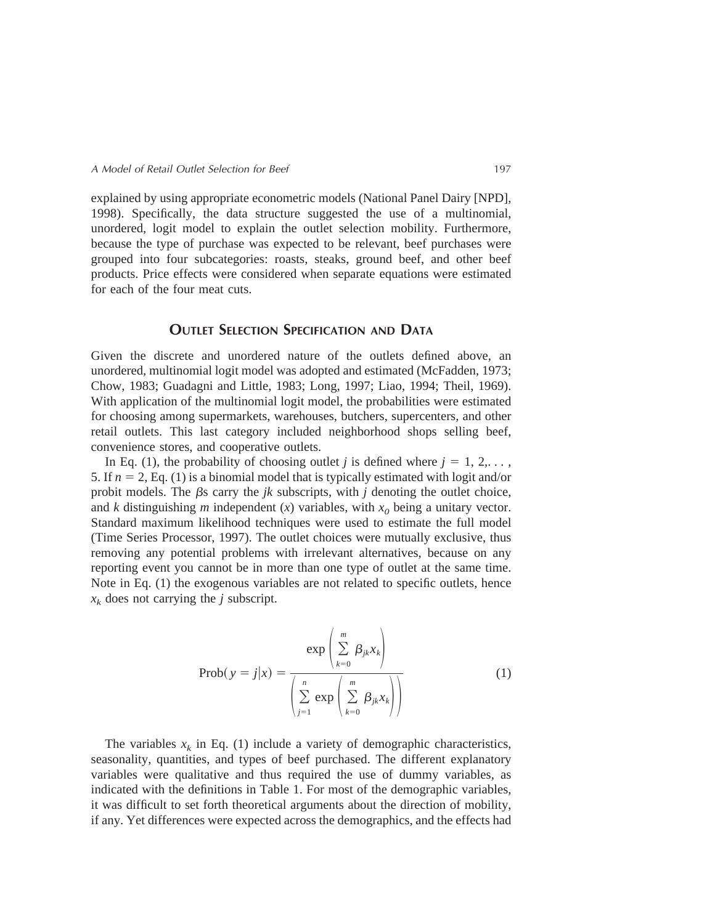explained by using appropriate econometric models (National Panel Dairy [NPD], 1998). Specifically, the data structure suggested the use of a multinomial, unordered, logit model to explain the outlet selection mobility. Furthermore, because the type of purchase was expected to be relevant, beef purchases were grouped into four subcategories: roasts, steaks, ground beef, and other beef products. Price effects were considered when separate equations were estimated for each of the four meat cuts.

#### **OUTLET SELECTION SPECIFICATION AND DATA**

Given the discrete and unordered nature of the outlets defined above, an unordered, multinomial logit model was adopted and estimated (McFadden, 1973; Chow, 1983; Guadagni and Little, 1983; Long, 1997; Liao, 1994; Theil, 1969). With application of the multinomial logit model, the probabilities were estimated for choosing among supermarkets, warehouses, butchers, supercenters, and other retail outlets. This last category included neighborhood shops selling beef, convenience stores, and cooperative outlets.

In Eq. (1), the probability of choosing outlet *j* is defined where  $j = 1, 2, \ldots$ , 5. If  $n = 2$ , Eq. (1) is a binomial model that is typically estimated with logit and/or probit models. The  $\beta$ s carry the *jk* subscripts, with *j* denoting the outlet choice, and *k* distinguishing *m* independent  $(x)$  variables, with  $x_0$  being a unitary vector. Standard maximum likelihood techniques were used to estimate the full model (Time Series Processor, 1997). The outlet choices were mutually exclusive, thus removing any potential problems with irrelevant alternatives, because on any reporting event you cannot be in more than one type of outlet at the same time. Note in Eq. (1) the exogenous variables are not related to specific outlets, hence  $x_k$  does not carrying the *j* subscript.

$$
\operatorname{Prob}(y = j|x) = \frac{\exp\left(\sum_{k=0}^{m} \beta_{jk} x_k\right)}{\left(\sum_{j=1}^{n} \exp\left(\sum_{k=0}^{m} \beta_{jk} x_k\right)\right)}
$$
(1)

The variables  $x_k$  in Eq. (1) include a variety of demographic characteristics, seasonality, quantities, and types of beef purchased. The different explanatory variables were qualitative and thus required the use of dummy variables, as indicated with the definitions in Table 1. For most of the demographic variables, it was difficult to set forth theoretical arguments about the direction of mobility, if any. Yet differences were expected across the demographics, and the effects had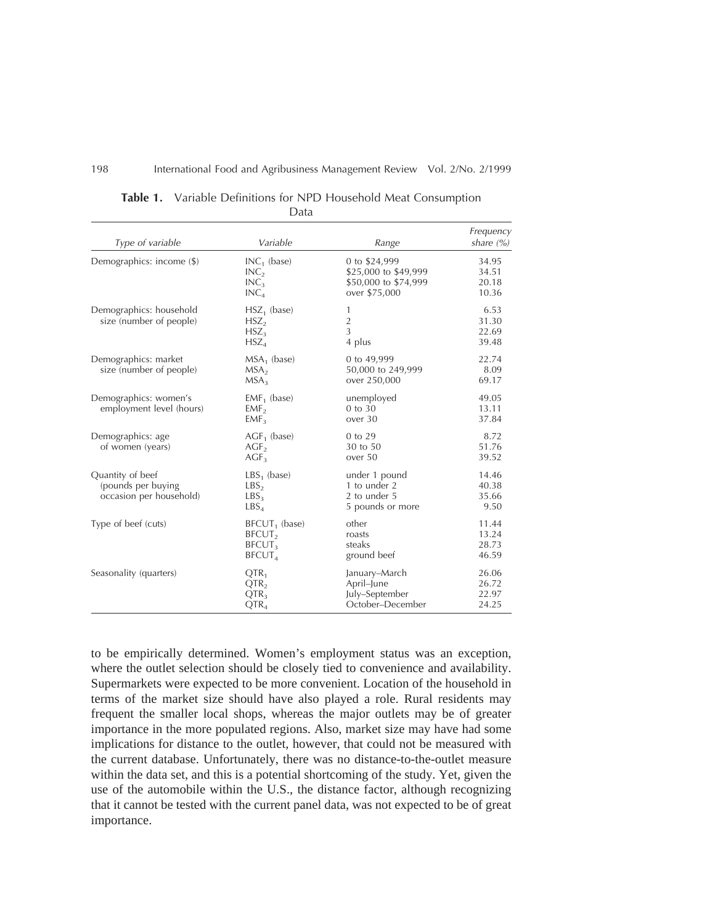| Type of variable                                                  | Variable                                                                           | Range                                                                          | Frequency<br>share $(\%)$        |
|-------------------------------------------------------------------|------------------------------------------------------------------------------------|--------------------------------------------------------------------------------|----------------------------------|
| Demographics: income (\$)                                         | $INC1$ (base)<br>INC <sub>2</sub><br>INC <sub>3</sub><br>INC <sub>A</sub>          | 0 to \$24,999<br>\$25,000 to \$49,999<br>\$50,000 to \$74,999<br>over \$75,000 | 34.95<br>34.51<br>20.18<br>10.36 |
| Demographics: household<br>size (number of people)                | $HSZ1$ (base)<br>$HSZ_2$<br>HSZ <sub>3</sub><br>HSZ <sub>4</sub>                   | 1<br>$\overline{2}$<br>3<br>4 plus                                             | 6.53<br>31.30<br>22.69<br>39.48  |
| Demographics: market<br>size (number of people)                   | $MSA_1$ (base)<br>MSA <sub>2</sub><br>MSA <sub>3</sub>                             | 0 to 49,999<br>50,000 to 249,999<br>over 250,000                               | 22.74<br>8.09<br>69.17           |
| Demographics: women's<br>employment level (hours)                 | $EMF_1$ (base)<br>EMF <sub>2</sub><br>EMF <sub>3</sub>                             | unemployed<br>$0$ to $30$<br>over 30                                           | 49.05<br>13.11<br>37.84          |
| Demographics: age<br>of women (years)                             | $AGF1$ (base)<br>AGF <sub>2</sub><br>AGF <sub>3</sub>                              | 0 to 29<br>30 to 50<br>over 50                                                 | 8.72<br>51.76<br>39.52           |
| Quantity of beef<br>(pounds per buying<br>occasion per household) | $LBS_1$ (base)<br>LBS <sub>2</sub><br>LBS <sub>3</sub><br>LBS <sub>4</sub>         | under 1 pound<br>1 to under 2<br>2 to under 5<br>5 pounds or more              | 14.46<br>40.38<br>35.66<br>9.50  |
| Type of beef (cuts)                                               | $BFCUT_1$ (base)<br>BFCUT <sub>2</sub><br>BFCUT <sub>3</sub><br>BFCUT <sub>A</sub> | other<br>roasts<br>steaks<br>ground beef                                       | 11.44<br>13.24<br>28.73<br>46.59 |
| Seasonality (quarters)                                            | $QTR_1$<br>QTR <sub>2</sub><br>QTR <sub>3</sub><br>$QTR_{4}$                       | January-March<br>April-June<br>July-September<br>October-December              | 26.06<br>26.72<br>22.97<br>24.25 |

**Table 1.** Variable Definitions for NPD Household Meat Consumption Data

to be empirically determined. Women's employment status was an exception, where the outlet selection should be closely tied to convenience and availability. Supermarkets were expected to be more convenient. Location of the household in terms of the market size should have also played a role. Rural residents may frequent the smaller local shops, whereas the major outlets may be of greater importance in the more populated regions. Also, market size may have had some implications for distance to the outlet, however, that could not be measured with the current database. Unfortunately, there was no distance-to-the-outlet measure within the data set, and this is a potential shortcoming of the study. Yet, given the use of the automobile within the U.S., the distance factor, although recognizing that it cannot be tested with the current panel data, was not expected to be of great importance.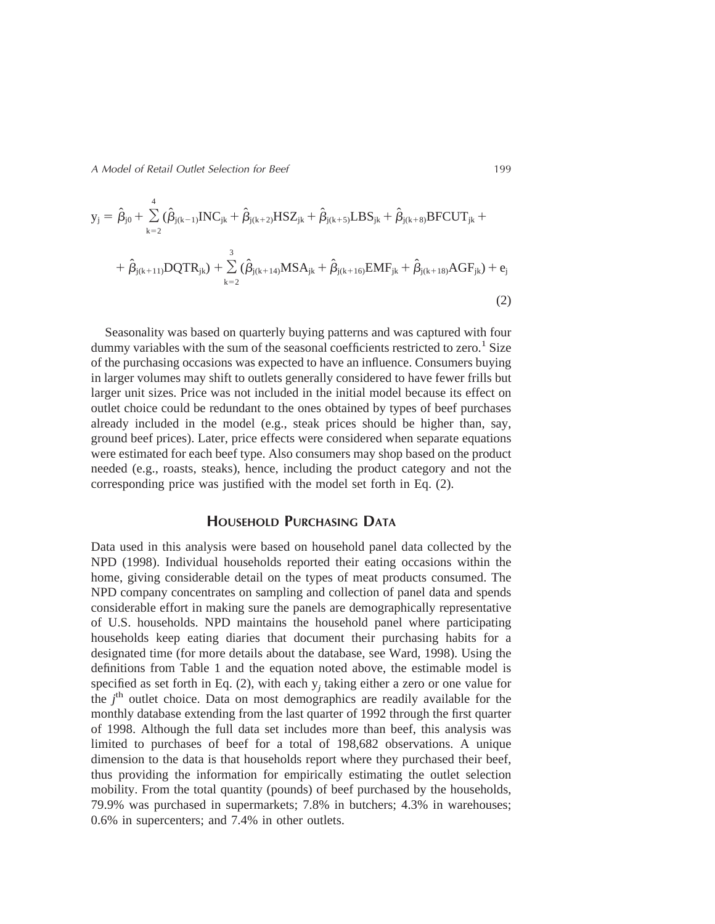$$
y_{j} = \hat{\beta}_{j0} + \sum_{k=2}^{4} (\hat{\beta}_{j(k-1)}INC_{jk} + \hat{\beta}_{j(k+2)} HSZ_{jk} + \hat{\beta}_{j(k+5)} LBS_{jk} + \hat{\beta}_{j(k+8)} BFCUT_{jk} + + \hat{\beta}_{j(k+11)} DQTR_{jk}) + \sum_{k=2}^{3} (\hat{\beta}_{j(k+14)} MSA_{jk} + \hat{\beta}_{j(k+16)} EMF_{jk} + \hat{\beta}_{j(k+18)} AGF_{jk}) + e_{j}
$$
(2)

Seasonality was based on quarterly buying patterns and was captured with four dummy variables with the sum of the seasonal coefficients restricted to zero.<sup>1</sup> Size of the purchasing occasions was expected to have an influence. Consumers buying in larger volumes may shift to outlets generally considered to have fewer frills but larger unit sizes. Price was not included in the initial model because its effect on outlet choice could be redundant to the ones obtained by types of beef purchases already included in the model (e.g., steak prices should be higher than, say, ground beef prices). Later, price effects were considered when separate equations were estimated for each beef type. Also consumers may shop based on the product needed (e.g., roasts, steaks), hence, including the product category and not the corresponding price was justified with the model set forth in Eq. (2).

## **HOUSEHOLD PURCHASING DATA**

Data used in this analysis were based on household panel data collected by the NPD (1998). Individual households reported their eating occasions within the home, giving considerable detail on the types of meat products consumed. The NPD company concentrates on sampling and collection of panel data and spends considerable effort in making sure the panels are demographically representative of U.S. households. NPD maintains the household panel where participating households keep eating diaries that document their purchasing habits for a designated time (for more details about the database, see Ward, 1998). Using the definitions from Table 1 and the equation noted above, the estimable model is specified as set forth in Eq. (2), with each y*<sup>j</sup>* taking either a zero or one value for the *j*<sup>th</sup> outlet choice. Data on most demographics are readily available for the monthly database extending from the last quarter of 1992 through the first quarter of 1998. Although the full data set includes more than beef, this analysis was limited to purchases of beef for a total of 198,682 observations. A unique dimension to the data is that households report where they purchased their beef, thus providing the information for empirically estimating the outlet selection mobility. From the total quantity (pounds) of beef purchased by the households, 79.9% was purchased in supermarkets; 7.8% in butchers; 4.3% in warehouses; 0.6% in supercenters; and 7.4% in other outlets.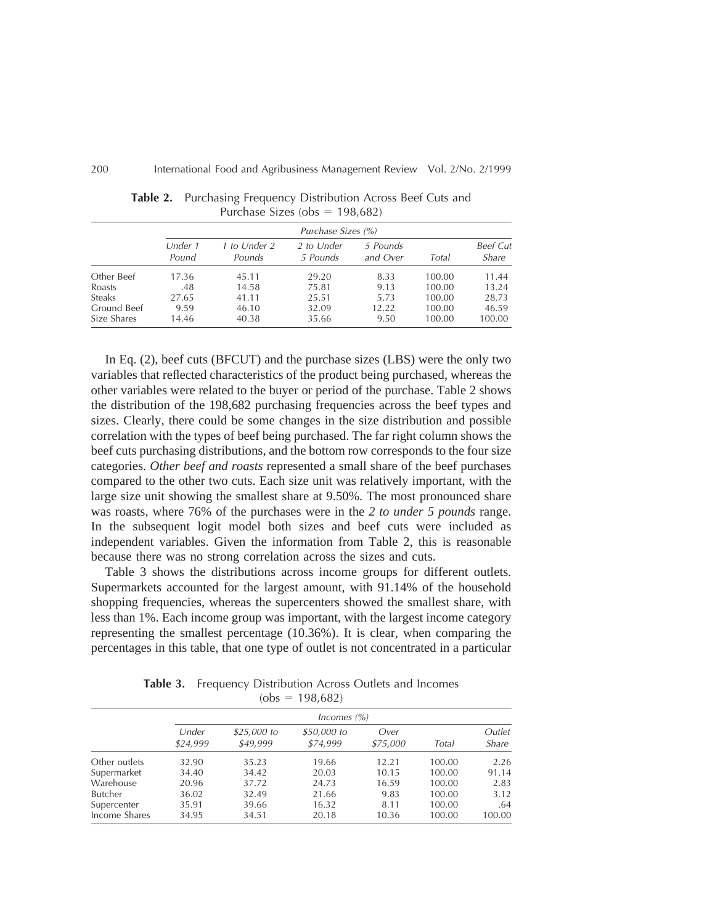|                            |                  | Purchase Sizes (%)     |                        |                      |                  |                          |
|----------------------------|------------------|------------------------|------------------------|----------------------|------------------|--------------------------|
|                            | Under 1<br>Pound | 1 to Under 2<br>Pounds | 2 to Under<br>5 Pounds | 5 Pounds<br>and Over | Total            | <b>Beef Cut</b><br>Share |
| Other Beef<br>Roasts       | 17.36<br>.48     | 45.11<br>14.58         | 29.20<br>75.81         | 8.33<br>9.13         | 100.00<br>100.00 | 11.44<br>13.24           |
| <b>Steaks</b>              | 27.65            | 41.11                  | 25.51                  | 5.73                 | 100.00           | 28.73                    |
| Ground Beef<br>Size Shares | 9.59<br>14.46    | 46.10<br>40.38         | 32.09<br>35.66         | 12.22<br>9.50        | 100.00<br>100.00 | 46.59<br>100.00          |

**Table 2.** Purchasing Frequency Distribution Across Beef Cuts and Purchase Sizes (obs  $= 198,682$ )

In Eq. (2), beef cuts (BFCUT) and the purchase sizes (LBS) were the only two variables that reflected characteristics of the product being purchased, whereas the other variables were related to the buyer or period of the purchase. Table 2 shows the distribution of the 198,682 purchasing frequencies across the beef types and sizes. Clearly, there could be some changes in the size distribution and possible correlation with the types of beef being purchased. The far right column shows the beef cuts purchasing distributions, and the bottom row corresponds to the four size categories. *Other beef and roasts* represented a small share of the beef purchases compared to the other two cuts. Each size unit was relatively important, with the large size unit showing the smallest share at 9.50%. The most pronounced share was roasts, where 76% of the purchases were in the *2 to under 5 pounds* range. In the subsequent logit model both sizes and beef cuts were included as independent variables. Given the information from Table 2, this is reasonable because there was no strong correlation across the sizes and cuts.

Table 3 shows the distributions across income groups for different outlets. Supermarkets accounted for the largest amount, with 91.14% of the household shopping frequencies, whereas the supercenters showed the smallest share, with less than 1%. Each income group was important, with the largest income category representing the smallest percentage (10.36%). It is clear, when comparing the percentages in this table, that one type of outlet is not concentrated in a particular

|                | $\sim$ $\sim$ $\sim$<br>. 7.7.7.7 1.7.7<br>Incomes $(\%)$ |                          |                         |                  |        |                 |
|----------------|-----------------------------------------------------------|--------------------------|-------------------------|------------------|--------|-----------------|
|                | Under<br>\$24,999                                         | $$25,000$ to<br>\$49,999 | \$50,000 to<br>\$74,999 | Over<br>\$75,000 | Total  | Outlet<br>Share |
| Other outlets  | 32.90                                                     | 35.23                    | 19.66                   | 12.21            | 100.00 | 2.26            |
| Supermarket    | 34.40                                                     | 34.42                    | 20.03                   | 10.15            | 100.00 | 91.14           |
| Warehouse      | 20.96                                                     | 37.72                    | 24.73                   | 16.59            | 100.00 | 2.83            |
| <b>Butcher</b> | 36.02                                                     | 32.49                    | 21.66                   | 9.83             | 100.00 | 3.12            |
| Supercenter    | 35.91                                                     | 39.66                    | 16.32                   | 8.11             | 100.00 | .64             |
| Income Shares  | 34.95                                                     | 34.51                    | 20.18                   | 10.36            | 100.00 | 100.00          |

**Table 3.** Frequency Distribution Across Outlets and Incomes  $(obs = 198.682)$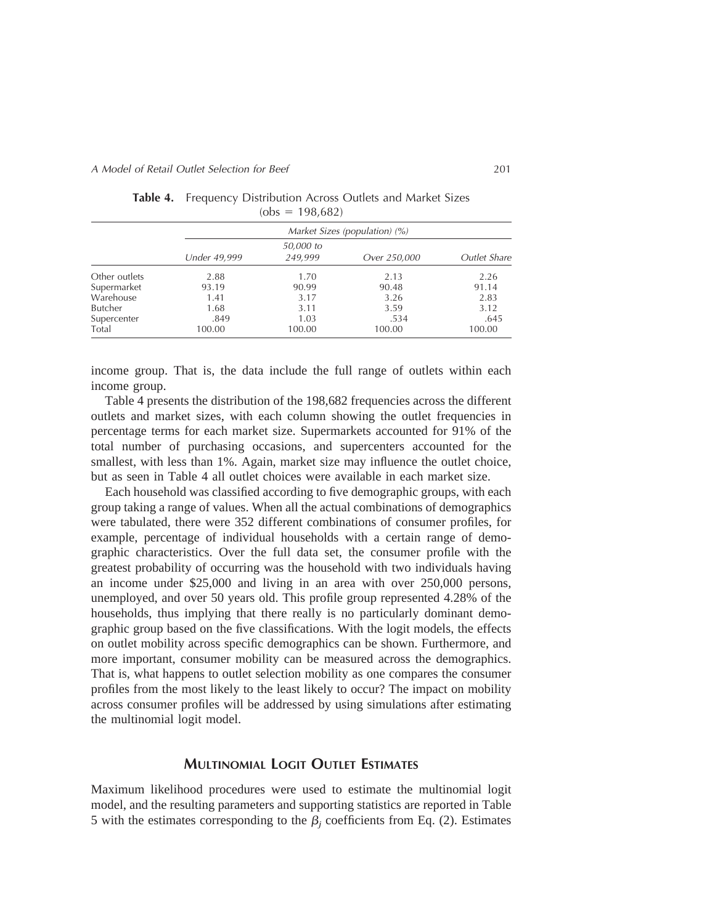|                | Market Sizes (population) (%)<br>50,000 to |         |              |              |  |
|----------------|--------------------------------------------|---------|--------------|--------------|--|
|                |                                            |         |              |              |  |
|                | Under 49,999                               | 249.999 | Over 250,000 | Outlet Share |  |
| Other outlets  | 2.88                                       | 1.70    | 2.13         | 2.26         |  |
| Supermarket    | 93.19                                      | 90.99   | 90.48        | 91.14        |  |
| Warehouse      | 1.41                                       | 3.17    | 3.26         | 2.83         |  |
| <b>Butcher</b> | 1.68                                       | 3.11    | 3.59         | 3.12         |  |
| Supercenter    | .849                                       | 1.03    | .534         | .645         |  |
| Total          | 100.00                                     | 100.00  | 100.00       | 100.00       |  |

| Table 4. Frequency Distribution Across Outlets and Market Sizes |
|-----------------------------------------------------------------|
| $(obs = 198.682)$                                               |

income group. That is, the data include the full range of outlets within each income group.

Table 4 presents the distribution of the 198,682 frequencies across the different outlets and market sizes, with each column showing the outlet frequencies in percentage terms for each market size. Supermarkets accounted for 91% of the total number of purchasing occasions, and supercenters accounted for the smallest, with less than 1%. Again, market size may influence the outlet choice, but as seen in Table 4 all outlet choices were available in each market size.

Each household was classified according to five demographic groups, with each group taking a range of values. When all the actual combinations of demographics were tabulated, there were 352 different combinations of consumer profiles, for example, percentage of individual households with a certain range of demographic characteristics. Over the full data set, the consumer profile with the greatest probability of occurring was the household with two individuals having an income under \$25,000 and living in an area with over 250,000 persons, unemployed, and over 50 years old. This profile group represented 4.28% of the households, thus implying that there really is no particularly dominant demographic group based on the five classifications. With the logit models, the effects on outlet mobility across specific demographics can be shown. Furthermore, and more important, consumer mobility can be measured across the demographics. That is, what happens to outlet selection mobility as one compares the consumer profiles from the most likely to the least likely to occur? The impact on mobility across consumer profiles will be addressed by using simulations after estimating the multinomial logit model.

# **MULTINOMIAL LOGIT OUTLET ESTIMATES**

Maximum likelihood procedures were used to estimate the multinomial logit model, and the resulting parameters and supporting statistics are reported in Table 5 with the estimates corresponding to the  $\beta$ <sub>*i*</sub> coefficients from Eq. (2). Estimates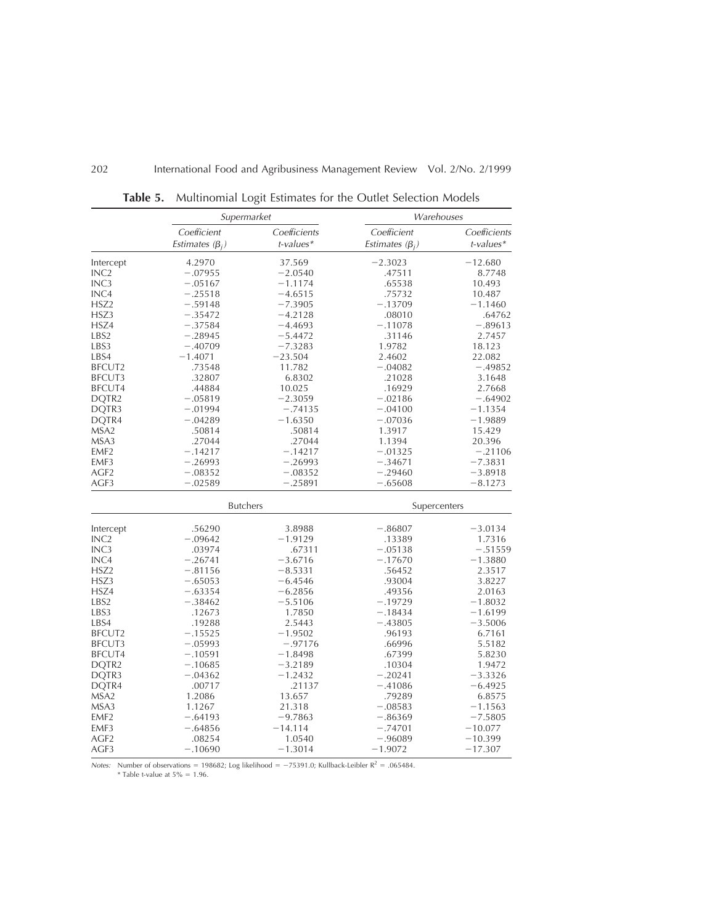|                  | Supermarket           |              | Warehouses            |              |  |
|------------------|-----------------------|--------------|-----------------------|--------------|--|
|                  | Coefficient           | Coefficients | Coefficient           | Coefficients |  |
|                  | Estimates $(\beta_i)$ | $t$ -values* | Estimates $(\beta_i)$ | $t$ -values* |  |
| Intercept        | 4.2970                | 37.569       | $-2.3023$             | $-12.680$    |  |
| INC <sub>2</sub> | $-.07955$             | $-2.0540$    | .47511                | 8.7748       |  |
| INC <sub>3</sub> | $-.05167$             | $-1.1174$    | .65538                | 10.493       |  |
| INC4             | $-.25518$             | $-4.6515$    | .75732                | 10.487       |  |
| HSZ2             | $-.59148$             | $-7.3905$    | $-.13709$             | $-1.1460$    |  |
| HSZ3             | $-.35472$             | $-4.2128$    | .08010                | .64762       |  |
| HSZ4             | $-.37584$             | $-4.4693$    | $-.11078$             | $-.89613$    |  |
| LBS <sub>2</sub> | $-.28945$             | $-5.4472$    | .31146                | 2.7457       |  |
| LBS3             | $-.40709$             | $-7.3283$    | 1.9782                | 18.123       |  |
| LBS4             | $-1.4071$             | $-23.504$    | 2.4602                | 22.082       |  |
| BFCUT2           | .73548                | 11.782       | $-.04082$             | $-.49852$    |  |
| <b>BFCUT3</b>    | .32807                | 6.8302       | .21028                | 3.1648       |  |
| BFCUT4           | .44884                | 10.025       | .16929                | 2.7668       |  |
| DQTR2            | $-.05819$             | $-2.3059$    | $-.02186$             | $-.64902$    |  |
| DQTR3            | $-.01994$             | $-.74135$    | $-.04100$             | $-1.1354$    |  |
|                  |                       |              |                       |              |  |
| DQTR4            | $-.04289$             | $-1.6350$    | $-.07036$             | $-1.9889$    |  |
| MSA2             | .50814                | .50814       | 1.3917                | 15.429       |  |
| MSA3             | .27044                | .27044       | 1.1394                | 20.396       |  |
| EMF <sub>2</sub> | -.14217               | $-.14217$    | $-.01325$             | $-.21106$    |  |
| EMF3             | $-.26993$             | $-.26993$    | $-.34671$             | $-7.3831$    |  |
| AGF <sub>2</sub> | $-.08352$             | $-.08352$    | $-.29460$             | $-3.8918$    |  |
| AGF3             | $-.02589$             | $-.25891$    | $-.65608$             | $-8.1273$    |  |
|                  | <b>Butchers</b>       |              | Supercenters          |              |  |
| Intercept        | .56290                | 3.8988       | $-.86807$             | $-3.0134$    |  |
| INC <sub>2</sub> | $-.09642$             | $-1.9129$    | .13389                | 1.7316       |  |
| INC <sub>3</sub> | .03974                | .67311       | $-.05138$             | $-.51559$    |  |
| INC4             | $-.26741$             | $-3.6716$    | $-.17670$             | $-1.3880$    |  |
| HSZ <sub>2</sub> | $-.81156$             | $-8.5331$    | .56452                | 2.3517       |  |
| HSZ3             | $-.65053$             | $-6.4546$    | .93004                | 3.8227       |  |
| HSZ4             | $-.63354$             | $-6.2856$    | .49356                | 2.0163       |  |
| LBS2             | $-.38462$             | $-5.5106$    | $-.19729$             | $-1.8032$    |  |
| LBS3             | .12673                | 1.7850       | $-.18434$             | $-1.6199$    |  |
| LBS4             | .19288                | 2.5443       | $-.43805$             | $-3.5006$    |  |
| BFCUT2           | $-.15525$             | $-1.9502$    | .96193                | 6.7161       |  |
| <b>BFCUT3</b>    | $-.05993$             | $-.97176$    | .66996                | 5.5182       |  |
|                  |                       |              |                       |              |  |
| BFCUT4           | $-.10591$             | $-1.8498$    | .67399                | 5.8230       |  |
| DQTR2            | $-.10685$             | $-3.2189$    | .10304                | 1.9472       |  |
| DQTR3            | $-.04362$             | $-1.2432$    | $-.20241$             | $-3.3326$    |  |
| DQTR4            | .00717                | .21137       | $-.41086$             | $-6.4925$    |  |
| MSA2             | 1.2086                | 13.657       | .79289                | 6.8575       |  |
| MSA3             | 1.1267                | 21.318       | $-.08583$             | $-1.1563$    |  |
| EMF <sub>2</sub> | $-.64193$             | $-9.7863$    | $-.86369$             | $-7.5805$    |  |
| EMF3             | $-.64856$             | $-14.114$    | $-.74701$             | $-10.077$    |  |
| AGF <sub>2</sub> | .08254                | 1.0540       | $-.96089$             | $-10.399$    |  |
| AGF3             | $-.10690$             | $-1.3014$    | $-1.9072$             | $-17.307$    |  |

**Table 5.** Multinomial Logit Estimates for the Outlet Selection Models

*Notes:* Number of observations = 198682; Log likelihood = -75391.0; Kullback-Leibler  $R^2$  = .065484.  $*$  Table t-value at  $5\% = 1.96$ .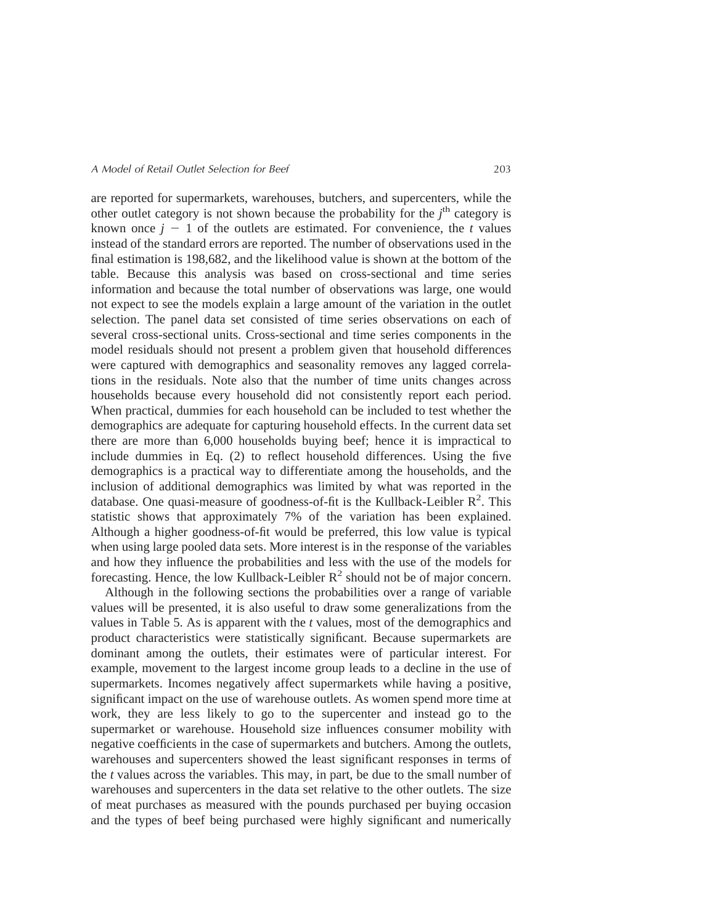are reported for supermarkets, warehouses, butchers, and supercenters, while the other outlet category is not shown because the probability for the  $j<sup>th</sup>$  category is known once  $j - 1$  of the outlets are estimated. For convenience, the *t* values instead of the standard errors are reported. The number of observations used in the final estimation is 198,682, and the likelihood value is shown at the bottom of the table. Because this analysis was based on cross-sectional and time series information and because the total number of observations was large, one would not expect to see the models explain a large amount of the variation in the outlet selection. The panel data set consisted of time series observations on each of several cross-sectional units. Cross-sectional and time series components in the model residuals should not present a problem given that household differences were captured with demographics and seasonality removes any lagged correlations in the residuals. Note also that the number of time units changes across households because every household did not consistently report each period. When practical, dummies for each household can be included to test whether the demographics are adequate for capturing household effects. In the current data set there are more than 6,000 households buying beef; hence it is impractical to include dummies in Eq. (2) to reflect household differences. Using the five demographics is a practical way to differentiate among the households, and the inclusion of additional demographics was limited by what was reported in the database. One quasi-measure of goodness-of-fit is the Kullback-Leibler  $\mathbb{R}^2$ . This statistic shows that approximately 7% of the variation has been explained. Although a higher goodness-of-fit would be preferred, this low value is typical when using large pooled data sets. More interest is in the response of the variables and how they influence the probabilities and less with the use of the models for forecasting. Hence, the low Kullback-Leibler  $R^2$  should not be of major concern.

Although in the following sections the probabilities over a range of variable values will be presented, it is also useful to draw some generalizations from the values in Table 5. As is apparent with the *t* values, most of the demographics and product characteristics were statistically significant. Because supermarkets are dominant among the outlets, their estimates were of particular interest. For example, movement to the largest income group leads to a decline in the use of supermarkets. Incomes negatively affect supermarkets while having a positive, significant impact on the use of warehouse outlets. As women spend more time at work, they are less likely to go to the supercenter and instead go to the supermarket or warehouse. Household size influences consumer mobility with negative coefficients in the case of supermarkets and butchers. Among the outlets, warehouses and supercenters showed the least significant responses in terms of the *t* values across the variables. This may, in part, be due to the small number of warehouses and supercenters in the data set relative to the other outlets. The size of meat purchases as measured with the pounds purchased per buying occasion and the types of beef being purchased were highly significant and numerically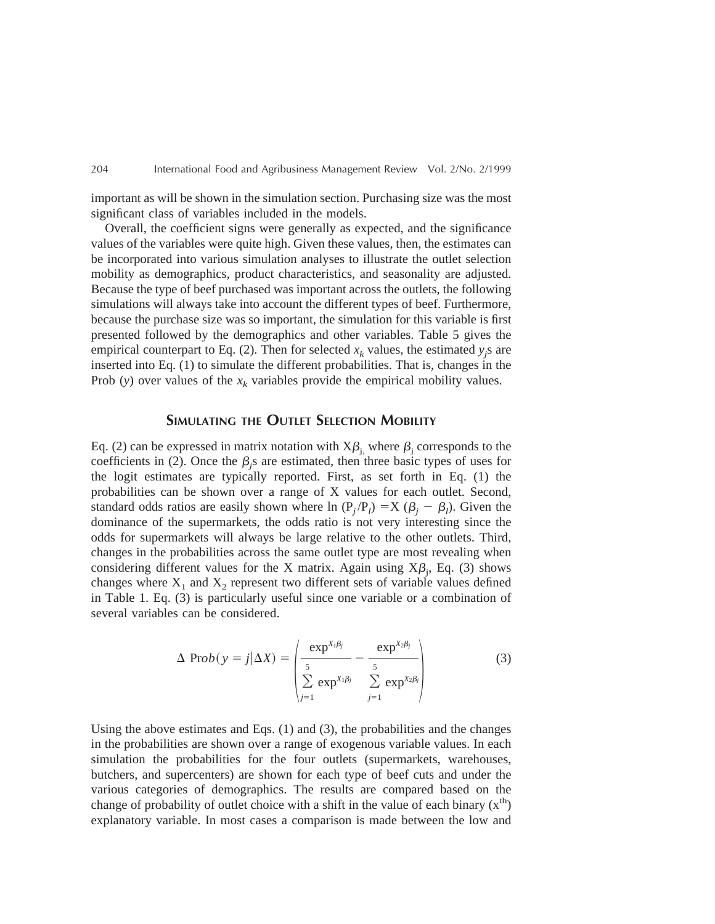important as will be shown in the simulation section. Purchasing size was the most significant class of variables included in the models.

Overall, the coefficient signs were generally as expected, and the significance values of the variables were quite high. Given these values, then, the estimates can be incorporated into various simulation analyses to illustrate the outlet selection mobility as demographics, product characteristics, and seasonality are adjusted. Because the type of beef purchased was important across the outlets, the following simulations will always take into account the different types of beef. Furthermore, because the purchase size was so important, the simulation for this variable is first presented followed by the demographics and other variables. Table 5 gives the empirical counterpart to Eq. (2). Then for selected  $x_k$  values, the estimated  $y_j$ s are inserted into Eq. (1) to simulate the different probabilities. That is, changes in the Prob ( $y$ ) over values of the  $x_k$  variables provide the empirical mobility values.

#### **SIMULATING THE OUTLET SELECTION MOBILITY**

Eq. (2) can be expressed in matrix notation with  $X\beta_i$ , where  $\beta_i$  corresponds to the coefficients in (2). Once the  $\beta_j$  are estimated, then three basic types of uses for the logit estimates are typically reported. First, as set forth in Eq. (1) the probabilities can be shown over a range of X values for each outlet. Second, standard odds ratios are easily shown where  $\ln (P_j/P_l) = X (\beta_j - \beta_l)$ . Given the dominance of the supermarkets, the odds ratio is not very interesting since the odds for supermarkets will always be large relative to the other outlets. Third, changes in the probabilities across the same outlet type are most revealing when considering different values for the X matrix. Again using  $X\beta_j$ , Eq. (3) shows changes where  $X_1$  and  $X_2$  represent two different sets of variable values defined in Table 1. Eq. (3) is particularly useful since one variable or a combination of several variables can be considered.

$$
\Delta \operatorname{Prob}(y = j | \Delta X) = \begin{pmatrix} \exp^{X_1 \beta_j} \\ \frac{5}{2} \exp^{X_1 \beta_j} \\ \sum_{j=1}^{5} \exp^{X_2 \beta_j} \\ \frac{1}{2} \exp^{X_3 \beta_j} \end{pmatrix}
$$
(3)

Using the above estimates and Eqs.  $(1)$  and  $(3)$ , the probabilities and the changes in the probabilities are shown over a range of exogenous variable values. In each simulation the probabilities for the four outlets (supermarkets, warehouses, butchers, and supercenters) are shown for each type of beef cuts and under the various categories of demographics. The results are compared based on the change of probability of outlet choice with a shift in the value of each binary  $(x<sup>th</sup>)$ explanatory variable. In most cases a comparison is made between the low and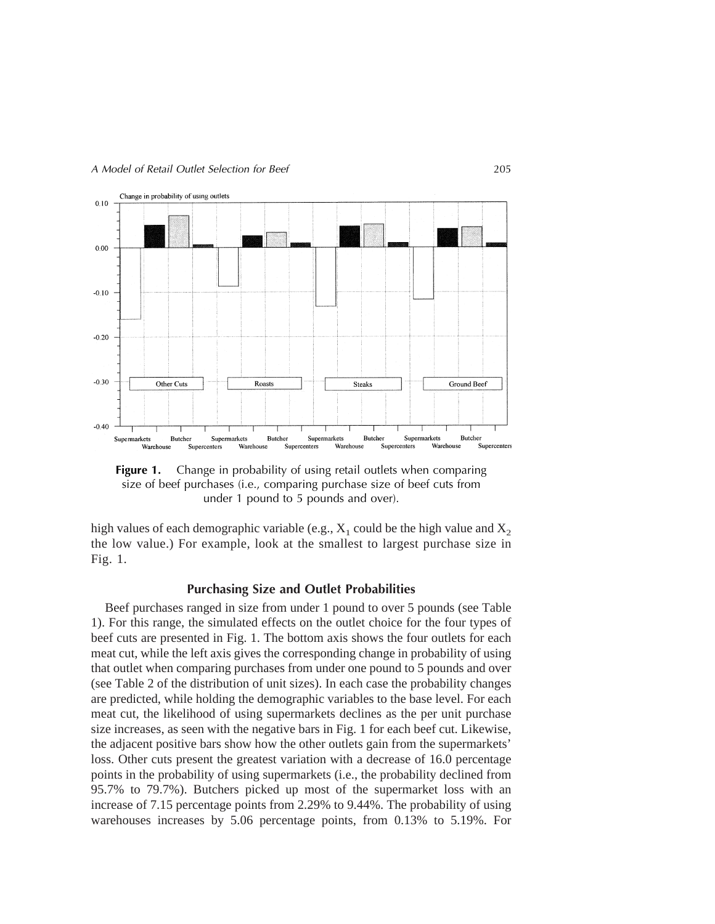

**Figure 1.** Change in probability of using retail outlets when comparing size of beef purchases (i.e., comparing purchase size of beef cuts from under 1 pound to 5 pounds and over).

high values of each demographic variable (e.g.,  $X_1$  could be the high value and  $X_2$ ) the low value.) For example, look at the smallest to largest purchase size in Fig. 1.

#### **Purchasing Size and Outlet Probabilities**

Beef purchases ranged in size from under 1 pound to over 5 pounds (see Table 1). For this range, the simulated effects on the outlet choice for the four types of beef cuts are presented in Fig. 1. The bottom axis shows the four outlets for each meat cut, while the left axis gives the corresponding change in probability of using that outlet when comparing purchases from under one pound to 5 pounds and over (see Table 2 of the distribution of unit sizes). In each case the probability changes are predicted, while holding the demographic variables to the base level. For each meat cut, the likelihood of using supermarkets declines as the per unit purchase size increases, as seen with the negative bars in Fig. 1 for each beef cut. Likewise, the adjacent positive bars show how the other outlets gain from the supermarkets' loss. Other cuts present the greatest variation with a decrease of 16.0 percentage points in the probability of using supermarkets (i.e., the probability declined from 95.7% to 79.7%). Butchers picked up most of the supermarket loss with an increase of 7.15 percentage points from 2.29% to 9.44%. The probability of using warehouses increases by 5.06 percentage points, from 0.13% to 5.19%. For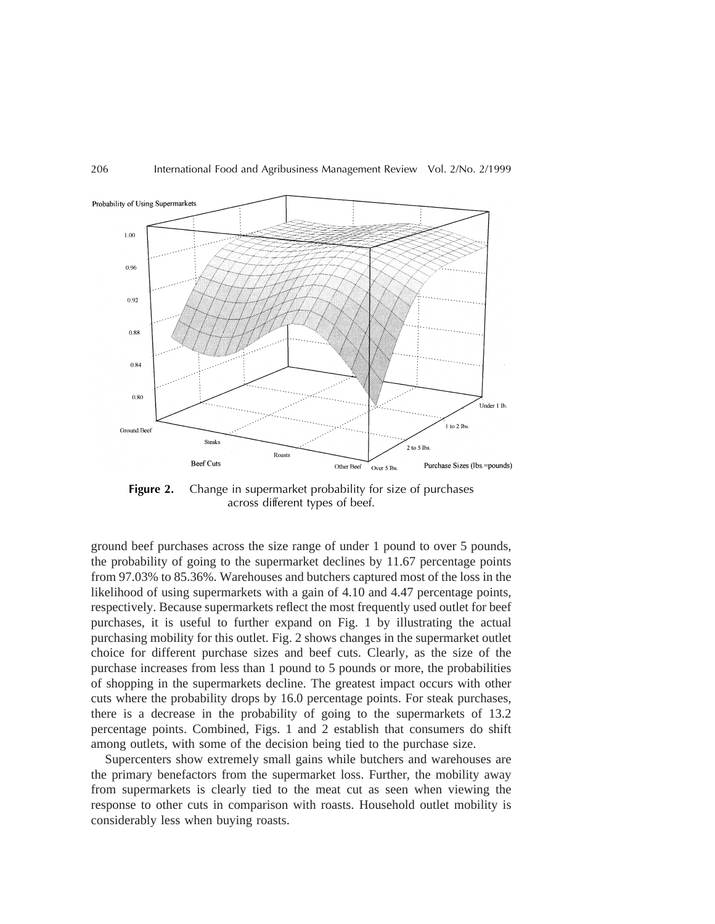

**Figure 2.** Change in supermarket probability for size of purchases across different types of beef.

ground beef purchases across the size range of under 1 pound to over 5 pounds, the probability of going to the supermarket declines by 11.67 percentage points from 97.03% to 85.36%. Warehouses and butchers captured most of the loss in the likelihood of using supermarkets with a gain of 4.10 and 4.47 percentage points, respectively. Because supermarkets reflect the most frequently used outlet for beef purchases, it is useful to further expand on Fig. 1 by illustrating the actual purchasing mobility for this outlet. Fig. 2 shows changes in the supermarket outlet choice for different purchase sizes and beef cuts. Clearly, as the size of the purchase increases from less than 1 pound to 5 pounds or more, the probabilities of shopping in the supermarkets decline. The greatest impact occurs with other cuts where the probability drops by 16.0 percentage points. For steak purchases, there is a decrease in the probability of going to the supermarkets of 13.2 percentage points. Combined, Figs. 1 and 2 establish that consumers do shift among outlets, with some of the decision being tied to the purchase size.

Supercenters show extremely small gains while butchers and warehouses are the primary benefactors from the supermarket loss. Further, the mobility away from supermarkets is clearly tied to the meat cut as seen when viewing the response to other cuts in comparison with roasts. Household outlet mobility is considerably less when buying roasts.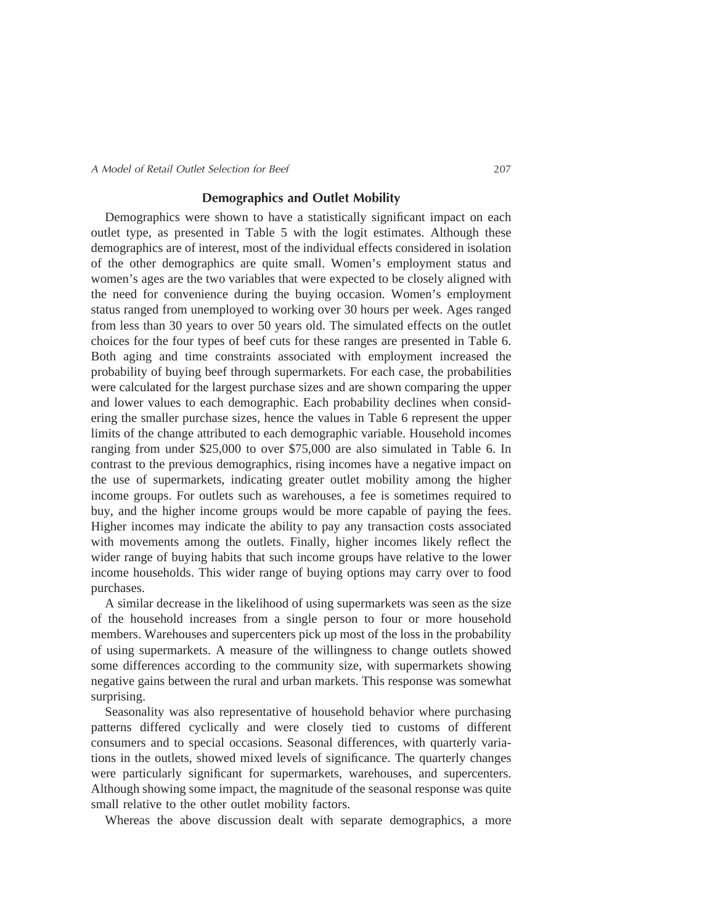#### **Demographics and Outlet Mobility**

Demographics were shown to have a statistically significant impact on each outlet type, as presented in Table 5 with the logit estimates. Although these demographics are of interest, most of the individual effects considered in isolation of the other demographics are quite small. Women's employment status and women's ages are the two variables that were expected to be closely aligned with the need for convenience during the buying occasion. Women's employment status ranged from unemployed to working over 30 hours per week. Ages ranged from less than 30 years to over 50 years old. The simulated effects on the outlet choices for the four types of beef cuts for these ranges are presented in Table 6. Both aging and time constraints associated with employment increased the probability of buying beef through supermarkets. For each case, the probabilities were calculated for the largest purchase sizes and are shown comparing the upper and lower values to each demographic. Each probability declines when considering the smaller purchase sizes, hence the values in Table 6 represent the upper limits of the change attributed to each demographic variable. Household incomes ranging from under \$25,000 to over \$75,000 are also simulated in Table 6. In contrast to the previous demographics, rising incomes have a negative impact on the use of supermarkets, indicating greater outlet mobility among the higher income groups. For outlets such as warehouses, a fee is sometimes required to buy, and the higher income groups would be more capable of paying the fees. Higher incomes may indicate the ability to pay any transaction costs associated with movements among the outlets. Finally, higher incomes likely reflect the wider range of buying habits that such income groups have relative to the lower income households. This wider range of buying options may carry over to food purchases.

A similar decrease in the likelihood of using supermarkets was seen as the size of the household increases from a single person to four or more household members. Warehouses and supercenters pick up most of the loss in the probability of using supermarkets. A measure of the willingness to change outlets showed some differences according to the community size, with supermarkets showing negative gains between the rural and urban markets. This response was somewhat surprising.

Seasonality was also representative of household behavior where purchasing patterns differed cyclically and were closely tied to customs of different consumers and to special occasions. Seasonal differences, with quarterly variations in the outlets, showed mixed levels of significance. The quarterly changes were particularly significant for supermarkets, warehouses, and supercenters. Although showing some impact, the magnitude of the seasonal response was quite small relative to the other outlet mobility factors.

Whereas the above discussion dealt with separate demographics, a more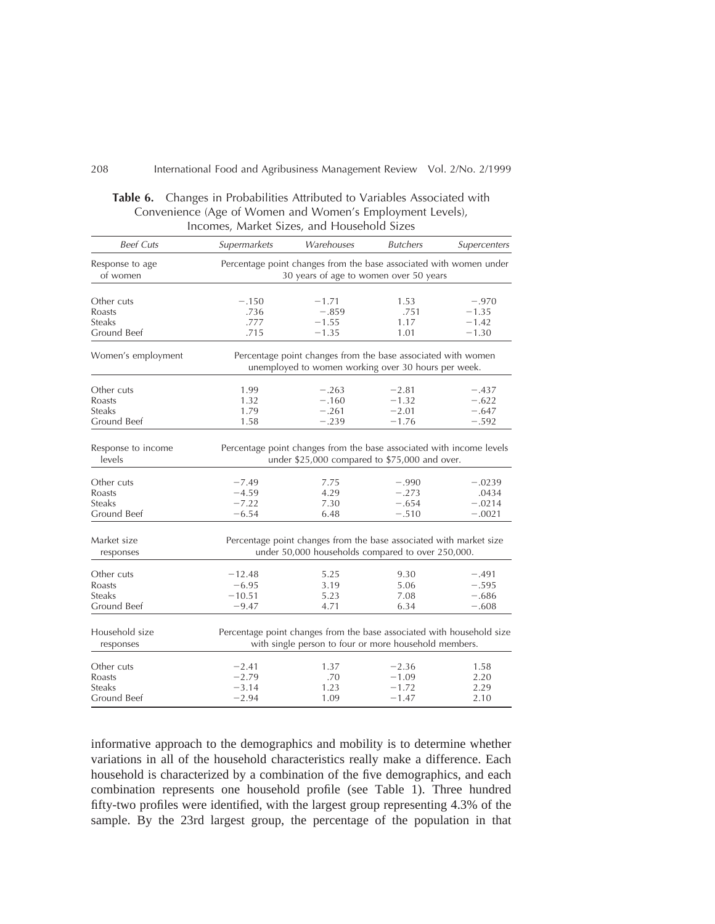| <b>Table 6.</b> Changes in Probabilities Attributed to Variables Associated with |
|----------------------------------------------------------------------------------|
| Convenience (Age of Women and Women's Employment Levels),                        |
| Incomes, Market Sizes, and Household Sizes                                       |

| <b>Beef Cuts</b>             | Supermarkets                                                       | Warehouses                                                                                                                     | <b>Butchers</b> | Supercenters |  |  |
|------------------------------|--------------------------------------------------------------------|--------------------------------------------------------------------------------------------------------------------------------|-----------------|--------------|--|--|
| Response to age              | Percentage point changes from the base associated with women under |                                                                                                                                |                 |              |  |  |
| of women                     | 30 years of age to women over 50 years                             |                                                                                                                                |                 |              |  |  |
| Other cuts                   | $-.150$                                                            | $-1.71$                                                                                                                        | 1.53            | $-.970$      |  |  |
| Roasts                       | .736                                                               | $-.859$                                                                                                                        | .751            | $-1.35$      |  |  |
| <b>Steaks</b>                | .777                                                               | $-1.55$                                                                                                                        | 1.17            | $-1.42$      |  |  |
| Ground Beef                  | .715                                                               | $-1.35$                                                                                                                        | 1.01            | $-1.30$      |  |  |
| Women's employment           |                                                                    | Percentage point changes from the base associated with women<br>unemployed to women working over 30 hours per week.            |                 |              |  |  |
| Other cuts                   | 1.99                                                               | $-.263$                                                                                                                        | $-2.81$         | $-.437$      |  |  |
| Roasts                       | 1.32                                                               | $-.160$                                                                                                                        | $-1.32$         | $-.622$      |  |  |
| <b>Steaks</b>                | 1.79                                                               | $-.261$                                                                                                                        | $-2.01$         | $-.647$      |  |  |
| Ground Beef                  | 1.58                                                               | $-.239$                                                                                                                        | $-1.76$         | $-.592$      |  |  |
| Response to income<br>levels |                                                                    | Percentage point changes from the base associated with income levels<br>under \$25,000 compared to \$75,000 and over.          |                 |              |  |  |
| Other cuts                   | $-7.49$                                                            | 7.75                                                                                                                           | $-.990$         | $-.0239$     |  |  |
| Roasts                       | $-4.59$                                                            | 4.29                                                                                                                           | $-.273$         | .0434        |  |  |
| Steaks                       | $-7.22$                                                            | 7.30                                                                                                                           | $-.654$         | $-.0214$     |  |  |
| Ground Beef                  | $-6.54$                                                            | 6.48                                                                                                                           | $-.510$         | $-.0021$     |  |  |
| Market size<br>responses     |                                                                    | Percentage point changes from the base associated with market size<br>under 50,000 households compared to over 250,000.        |                 |              |  |  |
| Other cuts                   | $-12.48$                                                           | 5.25                                                                                                                           | 9.30            | $-.491$      |  |  |
| Roasts                       | $-6.95$                                                            | 3.19                                                                                                                           | 5.06            | $-.595$      |  |  |
| <b>Steaks</b>                | $-10.51$                                                           | 5.23                                                                                                                           | 7.08            | $-.686$      |  |  |
| Ground Beef                  | $-9.47$                                                            | 4.71                                                                                                                           | 6.34            | $-.608$      |  |  |
| Household size<br>responses  |                                                                    | Percentage point changes from the base associated with household size<br>with single person to four or more household members. |                 |              |  |  |
| Other cuts                   | $-2.41$                                                            | 1.37                                                                                                                           | $-2.36$         | 1.58         |  |  |
| Roasts                       | $-2.79$                                                            | .70                                                                                                                            | $-1.09$         | 2.20         |  |  |
| <b>Steaks</b>                | $-3.14$                                                            | 1.23                                                                                                                           | $-1.72$         | 2.29         |  |  |
| Ground Beef                  | $-2.94$                                                            | 1.09                                                                                                                           | $-1.47$         | 2.10         |  |  |

informative approach to the demographics and mobility is to determine whether variations in all of the household characteristics really make a difference. Each household is characterized by a combination of the five demographics, and each combination represents one household profile (see Table 1). Three hundred fifty-two profiles were identified, with the largest group representing 4.3% of the sample. By the 23rd largest group, the percentage of the population in that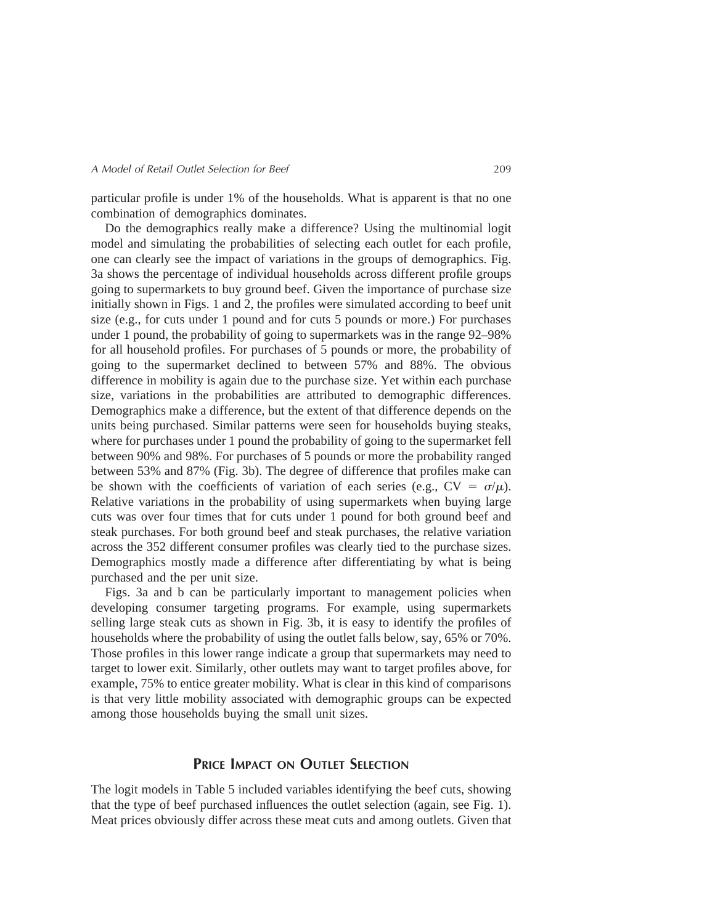particular profile is under 1% of the households. What is apparent is that no one combination of demographics dominates.

Do the demographics really make a difference? Using the multinomial logit model and simulating the probabilities of selecting each outlet for each profile, one can clearly see the impact of variations in the groups of demographics. Fig. 3a shows the percentage of individual households across different profile groups going to supermarkets to buy ground beef. Given the importance of purchase size initially shown in Figs. 1 and 2, the profiles were simulated according to beef unit size (e.g., for cuts under 1 pound and for cuts 5 pounds or more.) For purchases under 1 pound, the probability of going to supermarkets was in the range 92–98% for all household profiles. For purchases of 5 pounds or more, the probability of going to the supermarket declined to between 57% and 88%. The obvious difference in mobility is again due to the purchase size. Yet within each purchase size, variations in the probabilities are attributed to demographic differences. Demographics make a difference, but the extent of that difference depends on the units being purchased. Similar patterns were seen for households buying steaks, where for purchases under 1 pound the probability of going to the supermarket fell between 90% and 98%. For purchases of 5 pounds or more the probability ranged between 53% and 87% (Fig. 3b). The degree of difference that profiles make can be shown with the coefficients of variation of each series (e.g.,  $CV = \sigma/\mu$ ). Relative variations in the probability of using supermarkets when buying large cuts was over four times that for cuts under 1 pound for both ground beef and steak purchases. For both ground beef and steak purchases, the relative variation across the 352 different consumer profiles was clearly tied to the purchase sizes. Demographics mostly made a difference after differentiating by what is being purchased and the per unit size.

Figs. 3a and b can be particularly important to management policies when developing consumer targeting programs. For example, using supermarkets selling large steak cuts as shown in Fig. 3b, it is easy to identify the profiles of households where the probability of using the outlet falls below, say, 65% or 70%. Those profiles in this lower range indicate a group that supermarkets may need to target to lower exit. Similarly, other outlets may want to target profiles above, for example, 75% to entice greater mobility. What is clear in this kind of comparisons is that very little mobility associated with demographic groups can be expected among those households buying the small unit sizes.

## **PRICE IMPACT ON OUTLET SELECTION**

The logit models in Table 5 included variables identifying the beef cuts, showing that the type of beef purchased influences the outlet selection (again, see Fig. 1). Meat prices obviously differ across these meat cuts and among outlets. Given that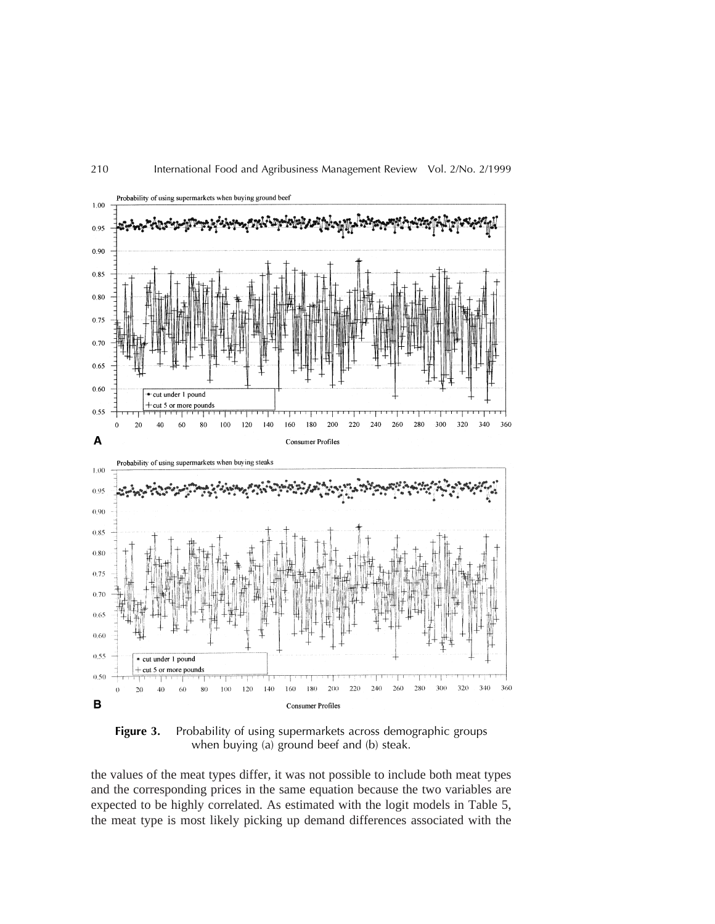

Figure 3. Probability of using supermarkets across demographic groups when buying (a) ground beef and (b) steak.

the values of the meat types differ, it was not possible to include both meat types and the corresponding prices in the same equation because the two variables are expected to be highly correlated. As estimated with the logit models in Table 5, the meat type is most likely picking up demand differences associated with the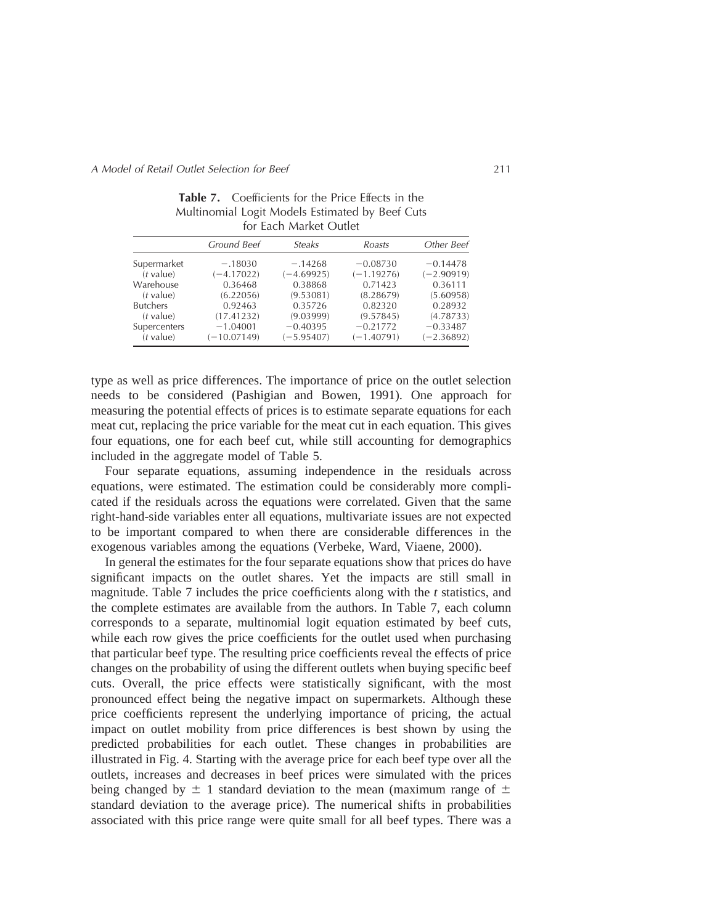|                 | Ground Beef   | <b>Steaks</b> | Roasts       | Other Beef   |
|-----------------|---------------|---------------|--------------|--------------|
| Supermarket     | $-.18030$     | $-.14268$     | $-0.08730$   | $-0.14478$   |
| $(t$ value)     | $(-4.17022)$  | $(-4.69925)$  | $(-1.19276)$ | $(-2.90919)$ |
| Warehouse       | 0.36468       | 0.38868       | 0.71423      | 0.36111      |
| $(t$ value)     | (6.22056)     | (9.53081)     | (8.28679)    | (5.60958)    |
| <b>Butchers</b> | 0.92463       | 0.35726       | 0.82320      | 0.28932      |
| $(t$ value)     | (17.41232)    | (9.03999)     | (9.57845)    | (4.78733)    |
| Supercenters    | $-1.04001$    | $-0.40395$    | $-0.21772$   | $-0.33487$   |
| $(t$ value)     | $(-10.07149)$ | $(-5.95407)$  | $(-1.40791)$ | $(-2.36892)$ |

**Table 7.** Coefficients for the Price Effects in the Multinomial Logit Models Estimated by Beef Cuts for Each Market Outlet

type as well as price differences. The importance of price on the outlet selection needs to be considered (Pashigian and Bowen, 1991). One approach for measuring the potential effects of prices is to estimate separate equations for each meat cut, replacing the price variable for the meat cut in each equation. This gives four equations, one for each beef cut, while still accounting for demographics included in the aggregate model of Table 5.

Four separate equations, assuming independence in the residuals across equations, were estimated. The estimation could be considerably more complicated if the residuals across the equations were correlated. Given that the same right-hand-side variables enter all equations, multivariate issues are not expected to be important compared to when there are considerable differences in the exogenous variables among the equations (Verbeke, Ward, Viaene, 2000).

In general the estimates for the four separate equations show that prices do have significant impacts on the outlet shares. Yet the impacts are still small in magnitude. Table 7 includes the price coefficients along with the *t* statistics, and the complete estimates are available from the authors. In Table 7, each column corresponds to a separate, multinomial logit equation estimated by beef cuts, while each row gives the price coefficients for the outlet used when purchasing that particular beef type. The resulting price coefficients reveal the effects of price changes on the probability of using the different outlets when buying specific beef cuts. Overall, the price effects were statistically significant, with the most pronounced effect being the negative impact on supermarkets. Although these price coefficients represent the underlying importance of pricing, the actual impact on outlet mobility from price differences is best shown by using the predicted probabilities for each outlet. These changes in probabilities are illustrated in Fig. 4. Starting with the average price for each beef type over all the outlets, increases and decreases in beef prices were simulated with the prices being changed by  $\pm$  1 standard deviation to the mean (maximum range of  $\pm$ standard deviation to the average price). The numerical shifts in probabilities associated with this price range were quite small for all beef types. There was a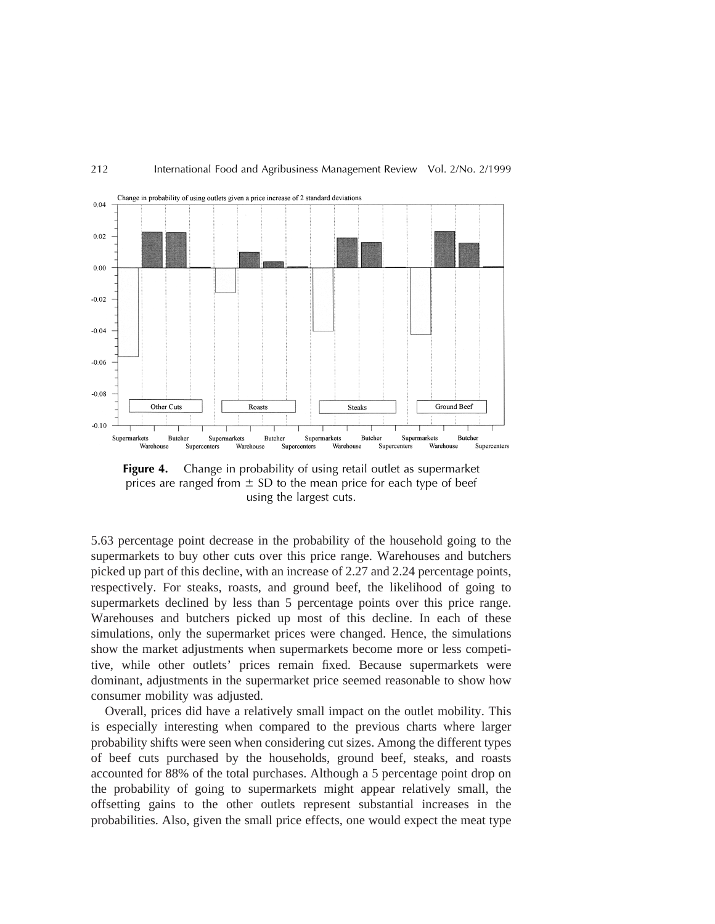

**Figure 4.** Change in probability of using retail outlet as supermarket prices are ranged from  $\pm$  SD to the mean price for each type of beef using the largest cuts.

5.63 percentage point decrease in the probability of the household going to the supermarkets to buy other cuts over this price range. Warehouses and butchers picked up part of this decline, with an increase of 2.27 and 2.24 percentage points, respectively. For steaks, roasts, and ground beef, the likelihood of going to supermarkets declined by less than 5 percentage points over this price range. Warehouses and butchers picked up most of this decline. In each of these simulations, only the supermarket prices were changed. Hence, the simulations show the market adjustments when supermarkets become more or less competitive, while other outlets' prices remain fixed. Because supermarkets were dominant, adjustments in the supermarket price seemed reasonable to show how consumer mobility was adjusted.

Overall, prices did have a relatively small impact on the outlet mobility. This is especially interesting when compared to the previous charts where larger probability shifts were seen when considering cut sizes. Among the different types of beef cuts purchased by the households, ground beef, steaks, and roasts accounted for 88% of the total purchases. Although a 5 percentage point drop on the probability of going to supermarkets might appear relatively small, the offsetting gains to the other outlets represent substantial increases in the probabilities. Also, given the small price effects, one would expect the meat type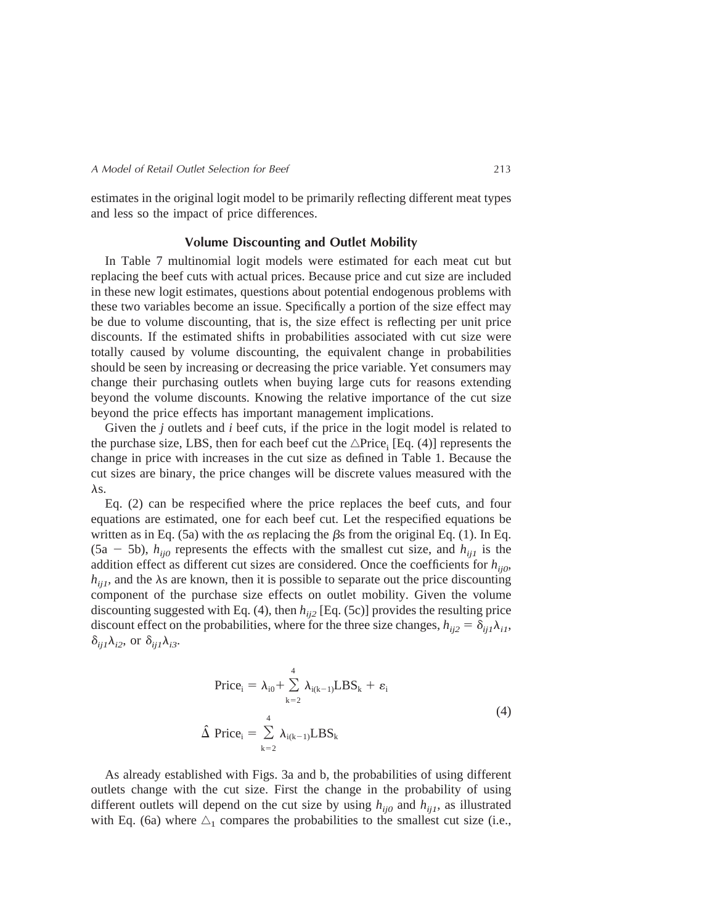estimates in the original logit model to be primarily reflecting different meat types and less so the impact of price differences.

#### **Volume Discounting and Outlet Mobility**

In Table 7 multinomial logit models were estimated for each meat cut but replacing the beef cuts with actual prices. Because price and cut size are included in these new logit estimates, questions about potential endogenous problems with these two variables become an issue. Specifically a portion of the size effect may be due to volume discounting, that is, the size effect is reflecting per unit price discounts. If the estimated shifts in probabilities associated with cut size were totally caused by volume discounting, the equivalent change in probabilities should be seen by increasing or decreasing the price variable. Yet consumers may change their purchasing outlets when buying large cuts for reasons extending beyond the volume discounts. Knowing the relative importance of the cut size beyond the price effects has important management implications.

Given the *j* outlets and *i* beef cuts, if the price in the logit model is related to the purchase size, LBS, then for each beef cut the  $\triangle$ Price<sub>i</sub> [Eq. (4)] represents the change in price with increases in the cut size as defined in Table 1. Because the cut sizes are binary, the price changes will be discrete values measured with the  $\lambda$ s.

Eq. (2) can be respecified where the price replaces the beef cuts, and four equations are estimated, one for each beef cut. Let the respecified equations be written as in Eq. (5a) with the  $\alpha$ s replacing the  $\beta$ s from the original Eq. (1). In Eq.  $(5a - 5b)$ ,  $h_{ii0}$  represents the effects with the smallest cut size, and  $h_{ii1}$  is the addition effect as different cut sizes are considered. Once the coefficients for  $h_{ii0}$ ,  $h_{ii}$ , and the  $\lambda$ s are known, then it is possible to separate out the price discounting component of the purchase size effects on outlet mobility. Given the volume discounting suggested with Eq. (4), then  $h_{ii2}$  [Eq. (5c)] provides the resulting price discount effect on the probabilities, where for the three size changes,  $h_{ii2} = \delta_{ii1} \lambda_{i1}$ ,  $\delta_{ij1}\lambda_{i2}$ , or  $\delta_{ij1}\lambda_{i3}$ .

$$
\begin{aligned} \text{Price}_{i} &= \lambda_{i0} + \sum_{k=2}^{4} \lambda_{i(k-1)} \text{LBS}_{k} + \varepsilon_{i} \\ \hat{\Delta} \text{ Price}_{i} &= \sum_{k=2}^{4} \lambda_{i(k-1)} \text{LBS}_{k} \end{aligned} \tag{4}
$$

As already established with Figs. 3a and b, the probabilities of using different outlets change with the cut size. First the change in the probability of using different outlets will depend on the cut size by using  $h_{ij0}$  and  $h_{ij1}$ , as illustrated with Eq. (6a) where  $\Delta_1$  compares the probabilities to the smallest cut size (i.e.,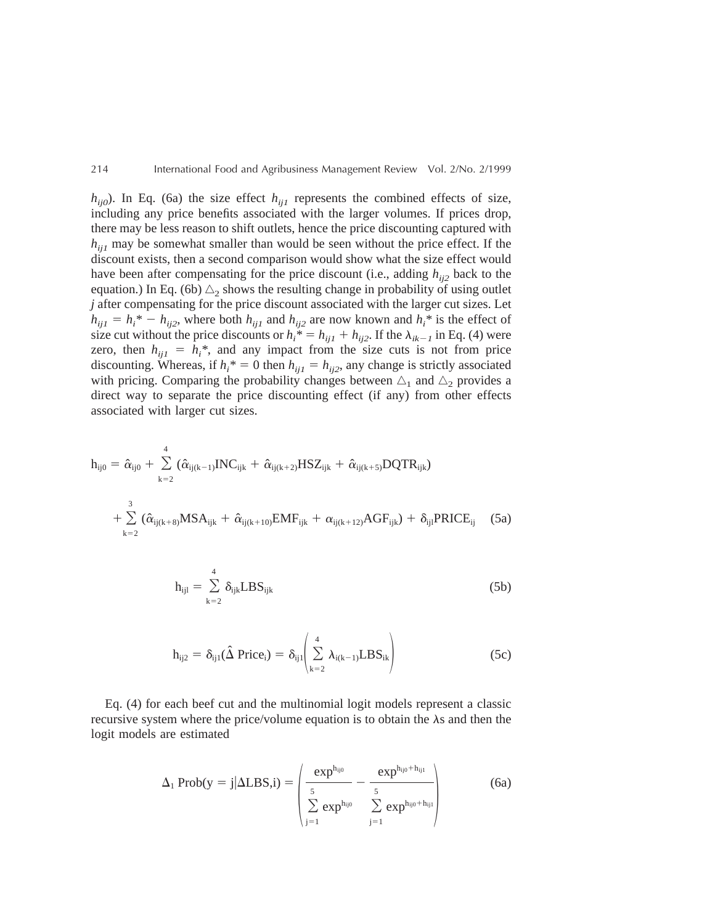$h_{ij0}$ ). In Eq. (6a) the size effect  $h_{ij1}$  represents the combined effects of size, including any price benefits associated with the larger volumes. If prices drop, there may be less reason to shift outlets, hence the price discounting captured with  $h_{ij1}$  may be somewhat smaller than would be seen without the price effect. If the discount exists, then a second comparison would show what the size effect would have been after compensating for the price discount (i.e., adding  $h_{ii2}$  back to the equation.) In Eq. (6b)  $\Delta_2$  shows the resulting change in probability of using outlet *j* after compensating for the price discount associated with the larger cut sizes. Let  $h_{ij1} = h_i^* - h_{ij2}$ , where both  $h_{ij1}$  and  $h_{ij2}$  are now known and  $h_i^*$  is the effect of size cut without the price discounts or  $h_i^* = h_{ij1} + h_{ij2}$ . If the  $\lambda_{ik-1}$  in Eq. (4) were zero, then  $h_{ijI} = h_i^*$ , and any impact from the size cuts is not from price discounting. Whereas, if  $h_i^* = 0$  then  $h_{ij1} = h_{ij2}$ , any change is strictly associated with pricing. Comparing the probability changes between  $\Delta_1$  and  $\Delta_2$  provides a direct way to separate the price discounting effect (if any) from other effects associated with larger cut sizes.

$$
h_{ij0} = \hat{\alpha}_{ij0} + \sum_{k=2}^{4} (\hat{\alpha}_{ij(k-1)}INC_{ijk} + \hat{\alpha}_{ij(k+2)} HSZ_{ijk} + \hat{\alpha}_{ij(k+5)} DQTR_{ijk})
$$
  
+ 
$$
\sum_{k=2}^{3} (\hat{\alpha}_{ij(k+8)} MSA_{ijk} + \hat{\alpha}_{ij(k+10)} EMF_{ijk} + \alpha_{ij(k+12)} AGF_{ijk}) + \delta_{ijl} PRICE_{ij}
$$
(5a)

$$
h_{ijl} = \sum_{k=2}^{4} \delta_{ijk} LBS_{ijk}
$$
 (5b)

$$
h_{ij2} = \delta_{ij1}(\hat{\Delta} \text{ Price}_i) = \delta_{ij1} \left( \sum_{k=2}^{4} \lambda_{i(k-1)} \text{LBS}_{ik} \right)
$$
(5c)

Eq. (4) for each beef cut and the multinomial logit models represent a classic recursive system where the price/volume equation is to obtain the  $\lambda$ s and then the logit models are estimated

$$
\Delta_1 \text{ Prob}(y = j | \Delta \text{LBS}, i) = \begin{pmatrix} \frac{\exp^{h_{ij0}}}{5} - \frac{\exp^{h_{ij0} + h_{ij1}}}{5} \\ \sum_{j=1}^{5} \exp^{h_{ij0}} & \sum_{j=1}^{5} \exp^{h_{ij0} + h_{ij1}} \end{pmatrix}
$$
(6a)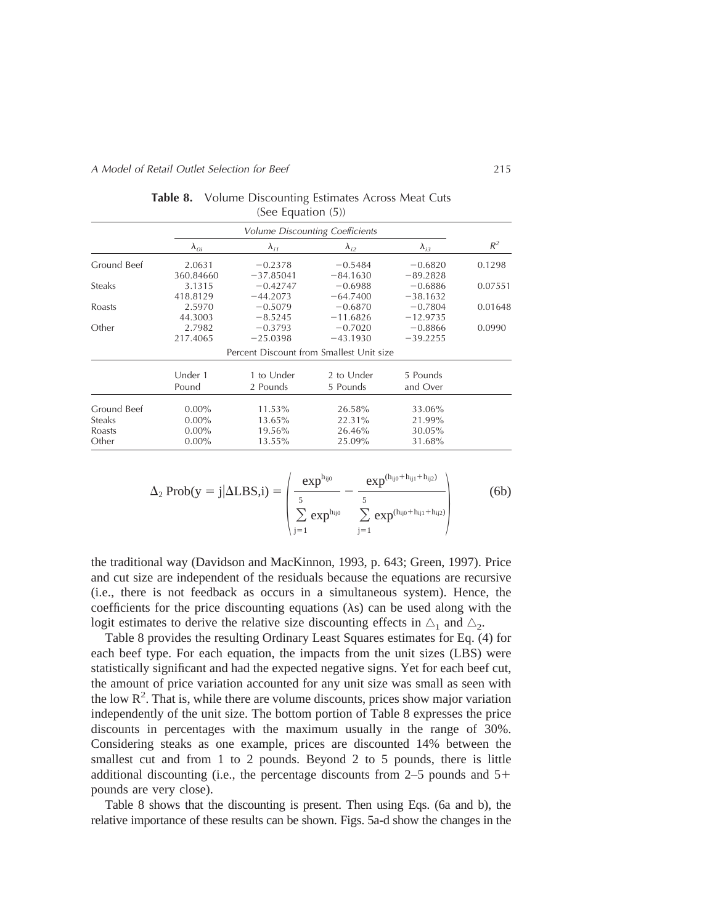|                       |                               | $\sqrt{5}$ Lyuduon $\sqrt{5}$            |                                       |                                       |         |
|-----------------------|-------------------------------|------------------------------------------|---------------------------------------|---------------------------------------|---------|
|                       |                               | <b>Volume Discounting Coefficients</b>   |                                       |                                       |         |
|                       | $\lambda_{0i}$                | $\lambda_{i1}$                           | $\lambda_{i2}$                        | $\lambda_{i3}$                        | $R^2$   |
| Ground Beef           | 2.0631<br>360.84660           | $-0.2378$<br>$-37.85041$                 | $-0.5484$<br>$-84.1630$               | $-0.6820$<br>$-89.2828$               | 0.1298  |
| <b>Steaks</b>         | 3.1315                        | $-0.42747$                               | $-0.6988$                             | $-0.6886$                             | 0.07551 |
| Roasts                | 418.8129<br>2.5970            | $-44.2073$<br>$-0.5079$                  | $-64.7400$<br>$-0.6870$               | $-38.1632$<br>$-0.7804$               | 0.01648 |
| Other                 | 44.3003<br>2.7982<br>217.4065 | $-8.5245$<br>$-0.3793$<br>$-25.0398$     | $-11.6826$<br>$-0.7020$<br>$-43.1930$ | $-12.9735$<br>$-0.8866$<br>$-39.2255$ | 0.0990  |
|                       |                               | Percent Discount from Smallest Unit size |                                       |                                       |         |
|                       | Under 1<br>Pound              | 1 to Under<br>2 Pounds                   | 2 to Under<br>5 Pounds                | 5 Pounds<br>and Over                  |         |
| Ground Beef<br>Steaks | $0.00\%$<br>$0.00\%$          | 11.53%<br>13.65%                         | 26.58%<br>22.31%                      | 33.06%<br>21.99%                      |         |
| Roasts<br>Other       | $0.00\%$<br>$0.00\%$          | 19.56%<br>13.55%                         | 26.46%<br>25.09%                      | 30.05%<br>31.68%                      |         |

**Table 8.** Volume Discounting Estimates Across Meat Cuts  $(S_{\text{QQ}}$  Equation  $(5)$ )

$$
\Delta_2 \text{Prob}(y = j | \Delta \text{LBS}, i) = \begin{pmatrix} \frac{\exp^{h_{ij0}}}{5} - \frac{\exp^{(h_{ij0} + h_{ij1} + h_{ij2})}}{5} \\ \sum_{j=1}^{5} \exp^{(h_{ij0} + h_{ij1} + h_{ij2})} \\ \frac{\sum_{j=1}^{5} \exp^{(h_{ij0} + h_{ij1} + h_{ij2})}}{5} \end{pmatrix}
$$
(6b)

the traditional way (Davidson and MacKinnon, 1993, p. 643; Green, 1997). Price and cut size are independent of the residuals because the equations are recursive (i.e., there is not feedback as occurs in a simultaneous system). Hence, the coefficients for the price discounting equations  $(\lambda s)$  can be used along with the logit estimates to derive the relative size discounting effects in  $\triangle_1$  and  $\triangle_2$ .

Table 8 provides the resulting Ordinary Least Squares estimates for Eq. (4) for each beef type. For each equation, the impacts from the unit sizes (LBS) were statistically significant and had the expected negative signs. Yet for each beef cut, the amount of price variation accounted for any unit size was small as seen with the low  $\mathbb{R}^2$ . That is, while there are volume discounts, prices show major variation independently of the unit size. The bottom portion of Table 8 expresses the price discounts in percentages with the maximum usually in the range of 30%. Considering steaks as one example, prices are discounted 14% between the smallest cut and from 1 to 2 pounds. Beyond 2 to 5 pounds, there is little additional discounting (i.e., the percentage discounts from  $2-5$  pounds and  $5+$ pounds are very close).

Table 8 shows that the discounting is present. Then using Eqs. (6a and b), the relative importance of these results can be shown. Figs. 5a-d show the changes in the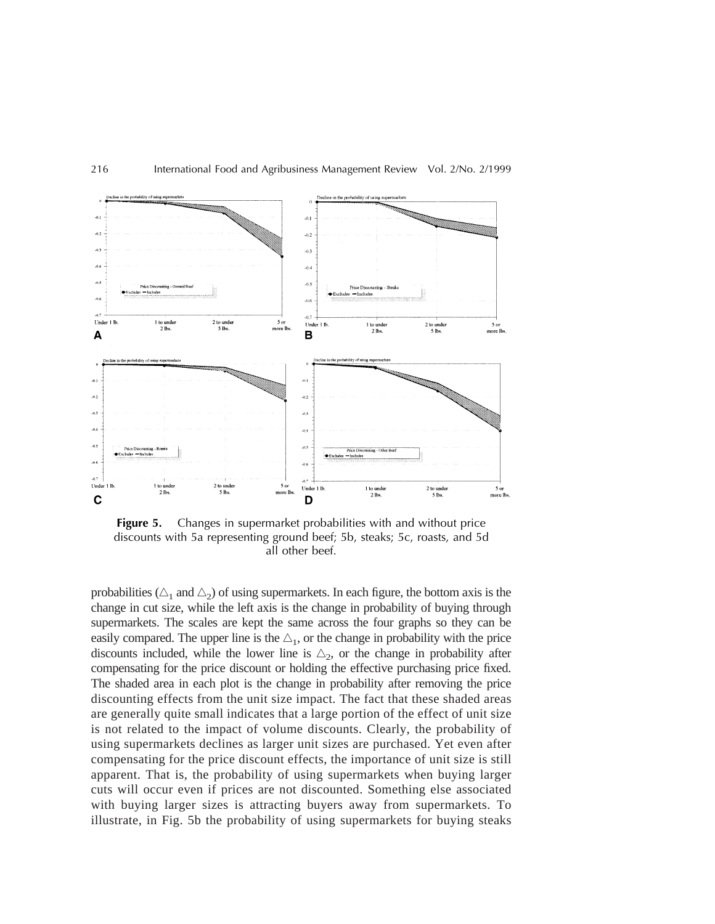

**Figure 5.** Changes in supermarket probabilities with and without price discounts with 5a representing ground beef; 5b, steaks; 5c, roasts, and 5d all other beef.

probabilities ( $\triangle$ <sub>1</sub> and  $\triangle$ <sub>2</sub>) of using supermarkets. In each figure, the bottom axis is the change in cut size, while the left axis is the change in probability of buying through supermarkets. The scales are kept the same across the four graphs so they can be easily compared. The upper line is the  $\triangle$ <sub>1</sub>, or the change in probability with the price discounts included, while the lower line is  $\triangle$ , or the change in probability after compensating for the price discount or holding the effective purchasing price fixed. The shaded area in each plot is the change in probability after removing the price discounting effects from the unit size impact. The fact that these shaded areas are generally quite small indicates that a large portion of the effect of unit size is not related to the impact of volume discounts. Clearly, the probability of using supermarkets declines as larger unit sizes are purchased. Yet even after compensating for the price discount effects, the importance of unit size is still apparent. That is, the probability of using supermarkets when buying larger cuts will occur even if prices are not discounted. Something else associated with buying larger sizes is attracting buyers away from supermarkets. To illustrate, in Fig. 5b the probability of using supermarkets for buying steaks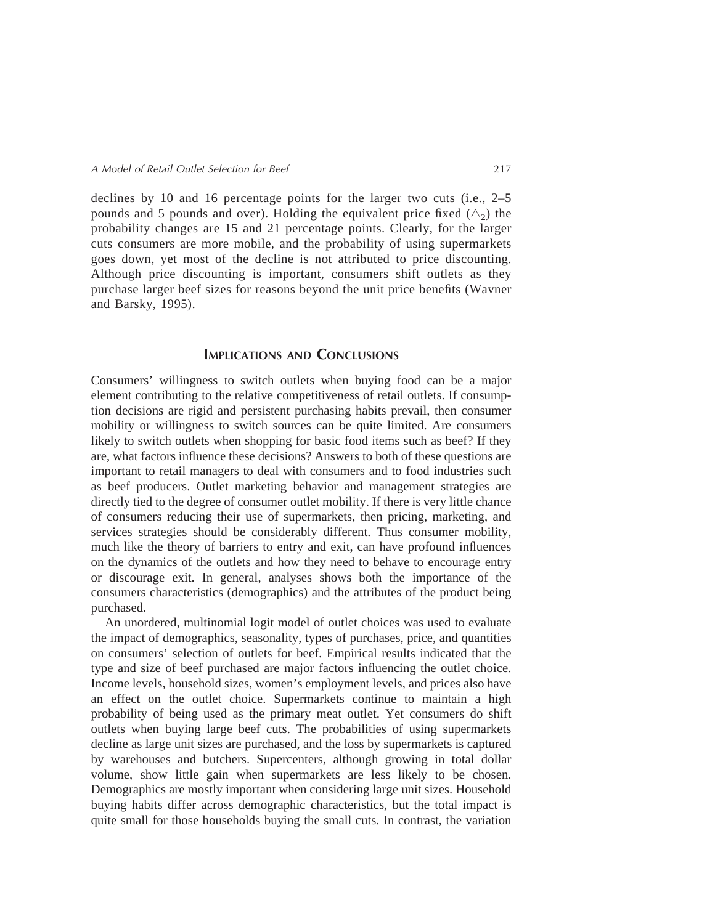declines by 10 and 16 percentage points for the larger two cuts (i.e., 2–5 pounds and 5 pounds and over). Holding the equivalent price fixed  $(\triangle_2)$  the probability changes are 15 and 21 percentage points. Clearly, for the larger cuts consumers are more mobile, and the probability of using supermarkets goes down, yet most of the decline is not attributed to price discounting. Although price discounting is important, consumers shift outlets as they purchase larger beef sizes for reasons beyond the unit price benefits (Wavner and Barsky, 1995).

#### **IMPLICATIONS AND CONCLUSIONS**

Consumers' willingness to switch outlets when buying food can be a major element contributing to the relative competitiveness of retail outlets. If consumption decisions are rigid and persistent purchasing habits prevail, then consumer mobility or willingness to switch sources can be quite limited. Are consumers likely to switch outlets when shopping for basic food items such as beef? If they are, what factors influence these decisions? Answers to both of these questions are important to retail managers to deal with consumers and to food industries such as beef producers. Outlet marketing behavior and management strategies are directly tied to the degree of consumer outlet mobility. If there is very little chance of consumers reducing their use of supermarkets, then pricing, marketing, and services strategies should be considerably different. Thus consumer mobility, much like the theory of barriers to entry and exit, can have profound influences on the dynamics of the outlets and how they need to behave to encourage entry or discourage exit. In general, analyses shows both the importance of the consumers characteristics (demographics) and the attributes of the product being purchased.

An unordered, multinomial logit model of outlet choices was used to evaluate the impact of demographics, seasonality, types of purchases, price, and quantities on consumers' selection of outlets for beef. Empirical results indicated that the type and size of beef purchased are major factors influencing the outlet choice. Income levels, household sizes, women's employment levels, and prices also have an effect on the outlet choice. Supermarkets continue to maintain a high probability of being used as the primary meat outlet. Yet consumers do shift outlets when buying large beef cuts. The probabilities of using supermarkets decline as large unit sizes are purchased, and the loss by supermarkets is captured by warehouses and butchers. Supercenters, although growing in total dollar volume, show little gain when supermarkets are less likely to be chosen. Demographics are mostly important when considering large unit sizes. Household buying habits differ across demographic characteristics, but the total impact is quite small for those households buying the small cuts. In contrast, the variation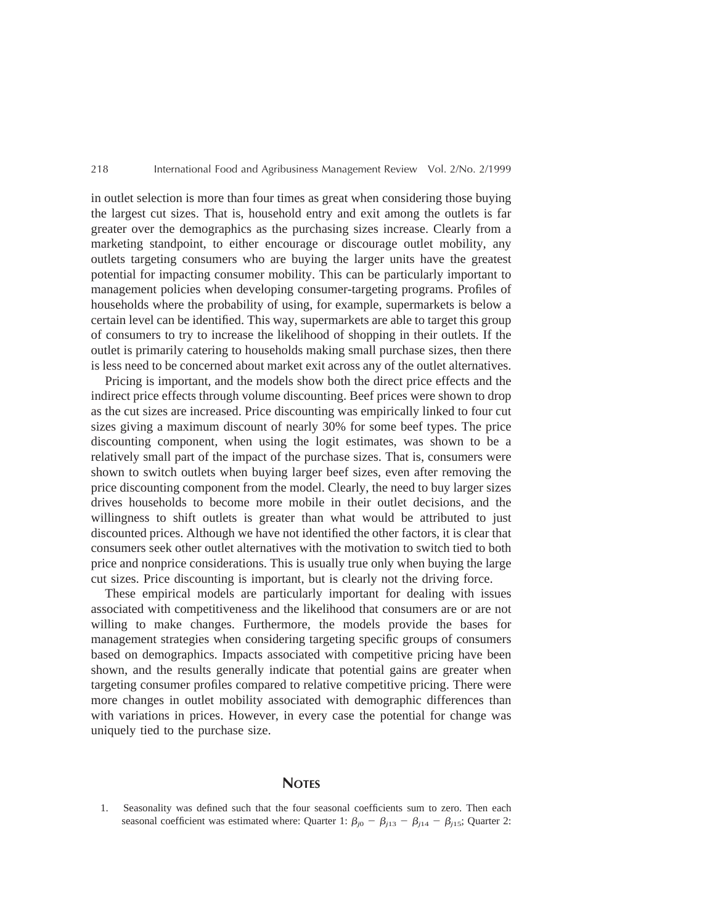in outlet selection is more than four times as great when considering those buying the largest cut sizes. That is, household entry and exit among the outlets is far greater over the demographics as the purchasing sizes increase. Clearly from a marketing standpoint, to either encourage or discourage outlet mobility, any outlets targeting consumers who are buying the larger units have the greatest potential for impacting consumer mobility. This can be particularly important to management policies when developing consumer-targeting programs. Profiles of households where the probability of using, for example, supermarkets is below a certain level can be identified. This way, supermarkets are able to target this group of consumers to try to increase the likelihood of shopping in their outlets. If the outlet is primarily catering to households making small purchase sizes, then there is less need to be concerned about market exit across any of the outlet alternatives.

Pricing is important, and the models show both the direct price effects and the indirect price effects through volume discounting. Beef prices were shown to drop as the cut sizes are increased. Price discounting was empirically linked to four cut sizes giving a maximum discount of nearly 30% for some beef types. The price discounting component, when using the logit estimates, was shown to be a relatively small part of the impact of the purchase sizes. That is, consumers were shown to switch outlets when buying larger beef sizes, even after removing the price discounting component from the model. Clearly, the need to buy larger sizes drives households to become more mobile in their outlet decisions, and the willingness to shift outlets is greater than what would be attributed to just discounted prices. Although we have not identified the other factors, it is clear that consumers seek other outlet alternatives with the motivation to switch tied to both price and nonprice considerations. This is usually true only when buying the large cut sizes. Price discounting is important, but is clearly not the driving force.

These empirical models are particularly important for dealing with issues associated with competitiveness and the likelihood that consumers are or are not willing to make changes. Furthermore, the models provide the bases for management strategies when considering targeting specific groups of consumers based on demographics. Impacts associated with competitive pricing have been shown, and the results generally indicate that potential gains are greater when targeting consumer profiles compared to relative competitive pricing. There were more changes in outlet mobility associated with demographic differences than with variations in prices. However, in every case the potential for change was uniquely tied to the purchase size.

#### **NOTES**

1. Seasonality was defined such that the four seasonal coefficients sum to zero. Then each seasonal coefficient was estimated where: Quarter 1:  $\beta_{j0} - \beta_{j13} - \beta_{j14} - \beta_{j15}$ ; Quarter 2: